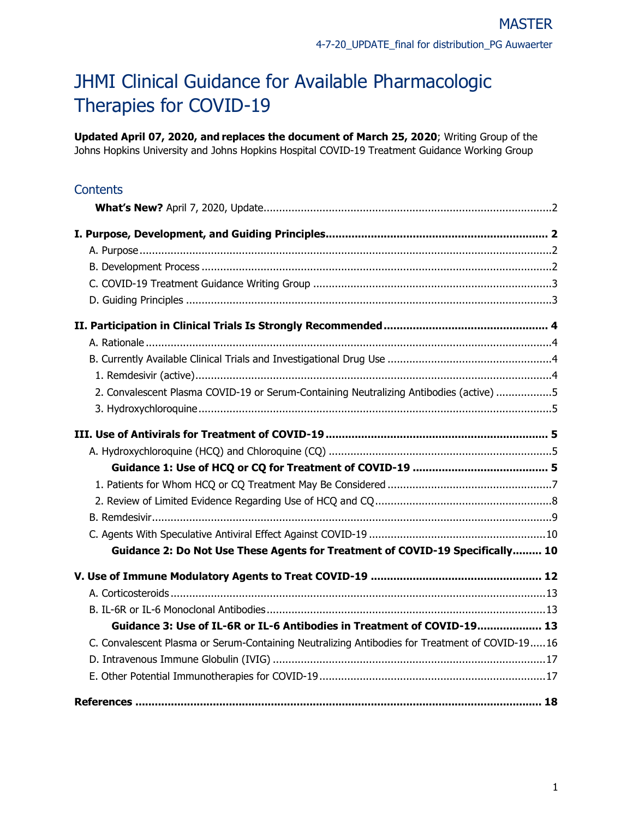# JHMI Clinical Guidance for Available Pharmacologic Therapies for COVID-19

**Updated April 07, 2020, and replaces the document of March 25, 2020**; Writing Group of the Johns Hopkins University and Johns Hopkins Hospital COVID-19 Treatment Guidance Working Group

| Contents                                                                                       |
|------------------------------------------------------------------------------------------------|
|                                                                                                |
|                                                                                                |
|                                                                                                |
|                                                                                                |
|                                                                                                |
|                                                                                                |
|                                                                                                |
|                                                                                                |
|                                                                                                |
|                                                                                                |
| 2. Convalescent Plasma COVID-19 or Serum-Containing Neutralizing Antibodies (active) 5         |
|                                                                                                |
|                                                                                                |
|                                                                                                |
|                                                                                                |
|                                                                                                |
|                                                                                                |
|                                                                                                |
|                                                                                                |
| Guidance 2: Do Not Use These Agents for Treatment of COVID-19 Specifically 10                  |
|                                                                                                |
|                                                                                                |
|                                                                                                |
| Guidance 3: Use of IL-6R or IL-6 Antibodies in Treatment of COVID-19 13                        |
| C. Convalescent Plasma or Serum-Containing Neutralizing Antibodies for Treatment of COVID-1916 |
|                                                                                                |
|                                                                                                |
|                                                                                                |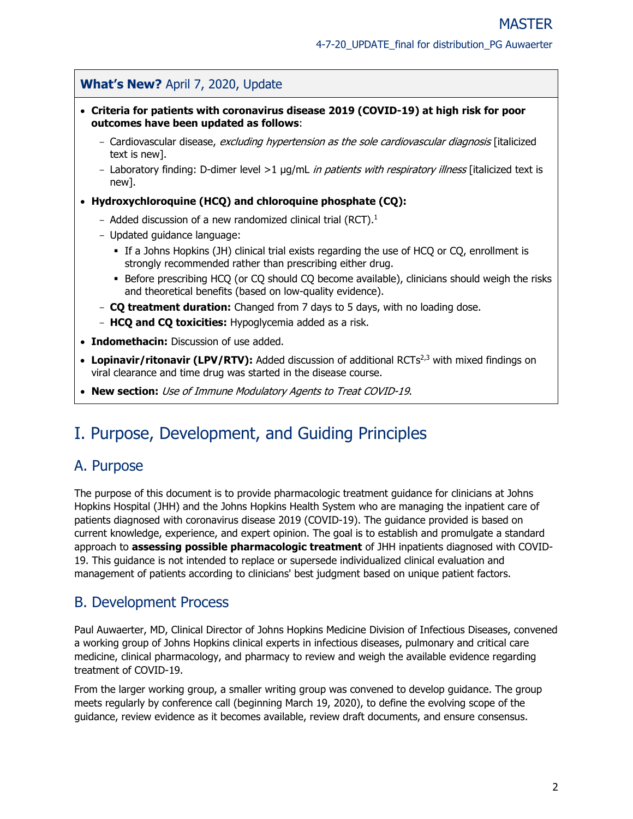## <span id="page-1-0"></span>**What's New?** April 7, 2020, Update

- **Criteria for patients with coronavirus disease 2019 (COVID-19) at high risk for poor outcomes have been updated as follows**:
	- Cardiovascular disease, excluding hypertension as the sole cardiovascular diagnosis [italicized text is new].
	- Laboratory finding: D-dimer level >1 µg/mL in patients with respiratory illness [italicized text is new].
- **Hydroxychloroquine (HCQ) and chloroquine phosphate (CQ):**
	- Added discussion of a new randomized clinical trial  $(RCT)^{1}$
	- Updated quidance language:
		- If a Johns Hopkins (JH) clinical trial exists regarding the use of HCQ or CQ, enrollment is strongly recommended rather than prescribing either drug.
		- Before prescribing HCQ (or CQ should CQ become available), clinicians should weigh the risks and theoretical benefits (based on low-quality evidence).
	- **CQ treatment duration:** Changed from 7 days to 5 days, with no loading dose.
	- **HCQ and CQ toxicities:** Hypoglycemia added as a risk.
- **Indomethacin:** Discussion of use added.
- Lopinavir/ritonavir (LPV/RTV): Added discussion of additional RCTs<sup>2,3</sup> with mixed findings on viral clearance and time drug was started in the disease course.
- <span id="page-1-1"></span>• **New section:** Use of Immune Modulatory Agents to Treat COVID-19.

# I. Purpose, Development, and Guiding Principles

## <span id="page-1-2"></span>A. Purpose

The purpose of this document is to provide pharmacologic treatment guidance for clinicians at Johns Hopkins Hospital (JHH) and the Johns Hopkins Health System who are managing the inpatient care of patients diagnosed with coronavirus disease 2019 (COVID-19). The guidance provided is based on current knowledge, experience, and expert opinion. The goal is to establish and promulgate a standard approach to **assessing possible pharmacologic treatment** of JHH inpatients diagnosed with COVID-19. This guidance is not intended to replace or supersede individualized clinical evaluation and management of patients according to clinicians' best judgment based on unique patient factors.

## <span id="page-1-3"></span>B. Development Process

Paul Auwaerter, MD, Clinical Director of Johns Hopkins Medicine Division of Infectious Diseases, convened a working group of Johns Hopkins clinical experts in infectious diseases, pulmonary and critical care medicine, clinical pharmacology, and pharmacy to review and weigh the available evidence regarding treatment of COVID-19.

From the larger working group, a smaller writing group was convened to develop guidance. The group meets regularly by conference call (beginning March 19, 2020), to define the evolving scope of the guidance, review evidence as it becomes available, review draft documents, and ensure consensus.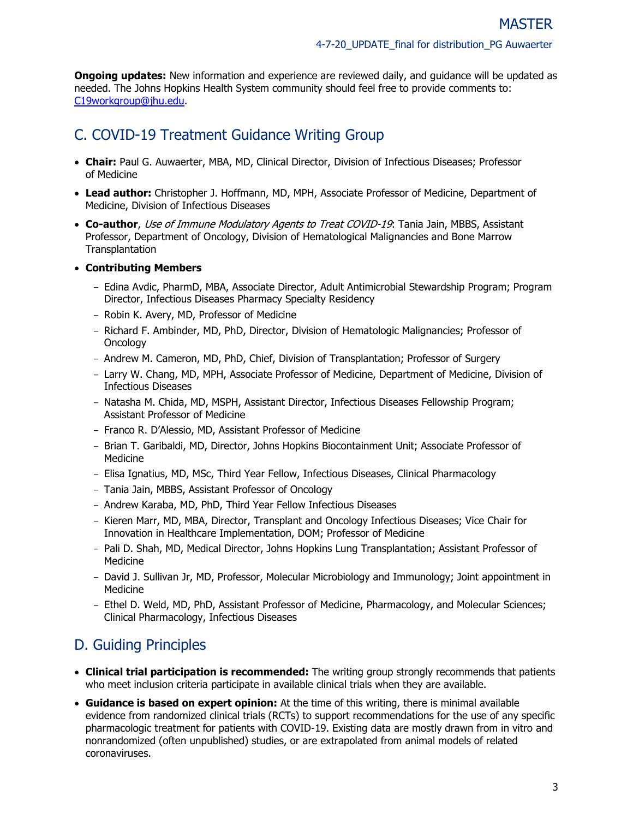**Ongoing updates:** New information and experience are reviewed daily, and quidance will be updated as needed. The Johns Hopkins Health System community should feel free to provide comments to: [C19workgroup@jhu.edu.](mailto:C19workgroup@jhu.edu)

# <span id="page-2-0"></span>C. COVID-19 Treatment Guidance Writing Group

- **Chair:** Paul G. Auwaerter, MBA, MD, Clinical Director, Division of Infectious Diseases; Professor of Medicine
- **Lead author:** Christopher J. Hoffmann, MD, MPH, Associate Professor of Medicine, Department of Medicine, Division of Infectious Diseases
- **Co-author**, Use of Immune Modulatory Agents to Treat COVID-19: Tania Jain, MBBS, Assistant Professor, Department of Oncology, Division of Hematological Malignancies and Bone Marrow **Transplantation**
- **Contributing Members** 
	- Edina Avdic, PharmD, MBA, Associate Director, Adult Antimicrobial Stewardship Program; Program Director, Infectious Diseases Pharmacy Specialty Residency
	- Robin K. Avery, MD, Professor of Medicine
	- Richard F. Ambinder, MD, PhD, Director, Division of Hematologic Malignancies; Professor of **Oncology**
	- Andrew M. Cameron, MD, PhD, Chief, Division of Transplantation; Professor of Surgery
	- Larry W. Chang, MD, MPH, Associate Professor of Medicine, Department of Medicine, Division of Infectious Diseases
	- Natasha M. Chida, MD, MSPH, Assistant Director, Infectious Diseases Fellowship Program; Assistant Professor of Medicine
	- Franco R. D'Alessio, MD, Assistant Professor of Medicine
	- Brian T. Garibaldi, MD, Director, Johns Hopkins Biocontainment Unit; Associate Professor of Medicine
	- Elisa Ignatius, MD, MSc, Third Year Fellow, Infectious Diseases, Clinical Pharmacology
	- Tania Jain, MBBS, Assistant Professor of Oncology
	- Andrew Karaba, MD, PhD, Third Year Fellow Infectious Diseases
	- Kieren Marr, MD, MBA, Director, Transplant and Oncology Infectious Diseases; Vice Chair for Innovation in Healthcare Implementation, DOM; Professor of Medicine
	- Pali D. Shah, MD, Medical Director, Johns Hopkins Lung Transplantation; Assistant Professor of Medicine
	- David J. Sullivan Jr, MD, Professor, Molecular Microbiology and Immunology; Joint appointment in Medicine
	- Ethel D. Weld, MD, PhD, Assistant Professor of Medicine, Pharmacology, and Molecular Sciences; Clinical Pharmacology, Infectious Diseases

# <span id="page-2-1"></span>D. Guiding Principles

- **Clinical trial participation is recommended:** The writing group strongly recommends that patients who meet inclusion criteria participate in available clinical trials when they are available.
- **Guidance is based on expert opinion:** At the time of this writing, there is minimal available evidence from randomized clinical trials (RCTs) to support recommendations for the use of any specific pharmacologic treatment for patients with COVID-19. Existing data are mostly drawn from in vitro and nonrandomized (often unpublished) studies, or are extrapolated from animal models of related coronaviruses.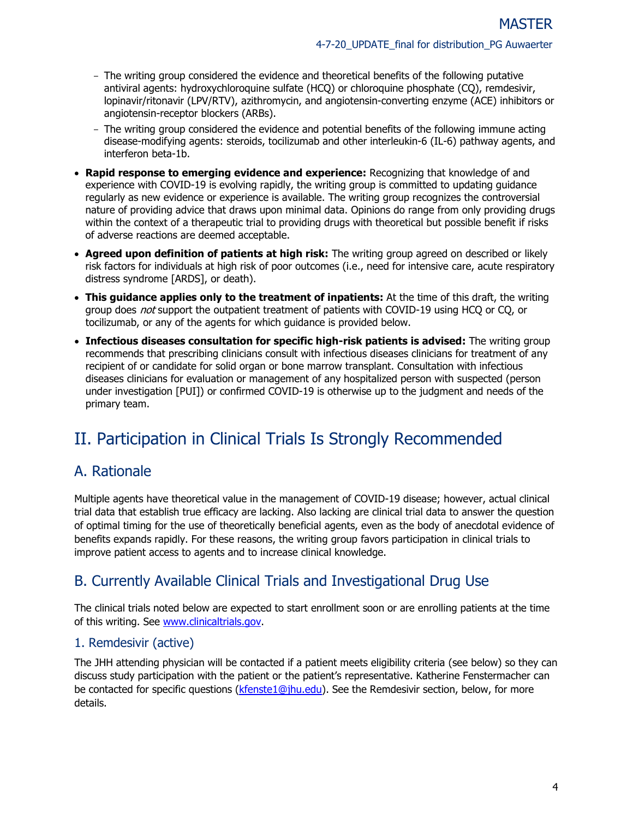- The writing group considered the evidence and theoretical benefits of the following putative antiviral agents: hydroxychloroquine sulfate (HCQ) or chloroquine phosphate (CQ), remdesivir, lopinavir/ritonavir (LPV/RTV), azithromycin, and angiotensin-converting enzyme (ACE) inhibitors or angiotensin-receptor blockers (ARBs).
- The writing group considered the evidence and potential benefits of the following immune acting disease-modifying agents: steroids, tocilizumab and other interleukin-6 (IL-6) pathway agents, and interferon beta-1b.
- **Rapid response to emerging evidence and experience:** Recognizing that knowledge of and experience with COVID-19 is evolving rapidly, the writing group is committed to updating guidance regularly as new evidence or experience is available. The writing group recognizes the controversial nature of providing advice that draws upon minimal data. Opinions do range from only providing drugs within the context of a therapeutic trial to providing drugs with theoretical but possible benefit if risks of adverse reactions are deemed acceptable.
- **Agreed upon definition of patients at high risk:** The writing group agreed on described or likely risk factors for individuals at high risk of poor outcomes (i.e., need for intensive care, acute respiratory distress syndrome [ARDS], or death).
- **This guidance applies only to the treatment of inpatients:** At the time of this draft, the writing group does not support the outpatient treatment of patients with COVID-19 using HCO or CO, or tocilizumab, or any of the agents for which guidance is provided below.
- **Infectious diseases consultation for specific high-risk patients is advised:** The writing group recommends that prescribing clinicians consult with infectious diseases clinicians for treatment of any recipient of or candidate for solid organ or bone marrow transplant. Consultation with infectious diseases clinicians for evaluation or management of any hospitalized person with suspected (person under investigation [PUI]) or confirmed COVID-19 is otherwise up to the judgment and needs of the primary team.

# <span id="page-3-0"></span>II. Participation in Clinical Trials Is Strongly Recommended

## <span id="page-3-1"></span>A. Rationale

Multiple agents have theoretical value in the management of COVID-19 disease; however, actual clinical trial data that establish true efficacy are lacking. Also lacking are clinical trial data to answer the question of optimal timing for the use of theoretically beneficial agents, even as the body of anecdotal evidence of benefits expands rapidly. For these reasons, the writing group favors participation in clinical trials to improve patient access to agents and to increase clinical knowledge.

# <span id="page-3-2"></span>B. Currently Available Clinical Trials and Investigational Drug Use

The clinical trials noted below are expected to start enrollment soon or are enrolling patients at the time of this writing. See [www.clinicaltrials.gov.](http://www.clinicaltrials.gov/)

## <span id="page-3-3"></span>1. Remdesivir (active)

<span id="page-3-4"></span>The JHH attending physician will be contacted if a patient meets eligibility criteria (see below) so they can discuss study participation with the patient or the patient's representative. Katherine Fenstermacher can be contacted for specific questions [\(kfenste1@jhu.edu\)](mailto:kfenste1@jhu.edu). See the Remdesivir section, below, for more details.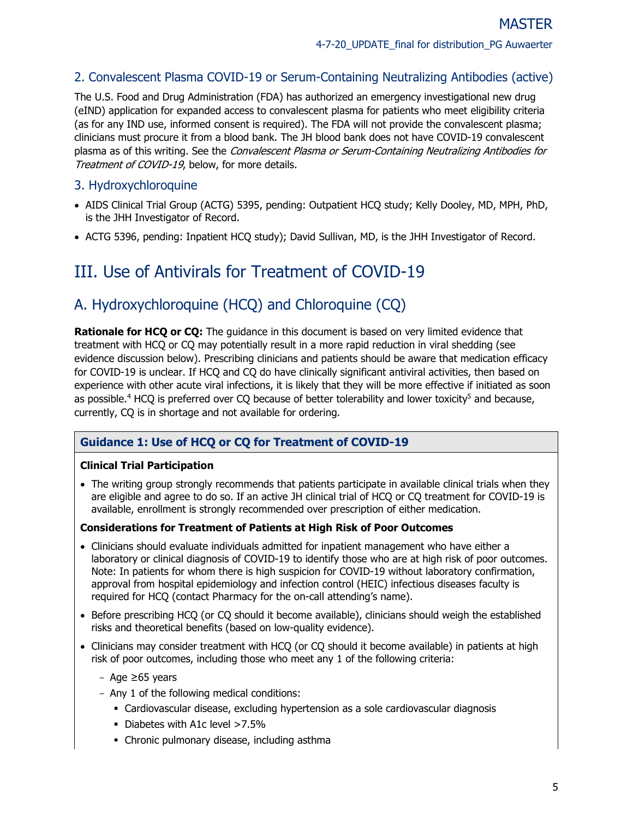## 2. Convalescent Plasma COVID-19 or Serum-Containing Neutralizing Antibodies (active)

The U.S. Food and Drug Administration (FDA) has authorized an emergency investigational new drug (eIND) application for expanded access to convalescent plasma for patients who meet eligibility criteria (as for any IND use, informed consent is required). The FDA will not provide the convalescent plasma; clinicians must procure it from a blood bank. The JH blood bank does not have COVID-19 convalescent plasma as of this writing. See the Convalescent Plasma or Serum-Containing Neutralizing Antibodies for Treatment of COVID-19, below, for more details.

## <span id="page-4-0"></span>3. Hydroxychloroquine

- AIDS Clinical Trial Group (ACTG) 5395, pending: Outpatient HCQ study; Kelly Dooley, MD, MPH, PhD, is the JHH Investigator of Record.
- ACTG 5396, pending: Inpatient HCQ study); David Sullivan, MD, is the JHH Investigator of Record.

# <span id="page-4-1"></span>III. Use of Antivirals for Treatment of COVID-19

# <span id="page-4-2"></span>A. Hydroxychloroquine (HCQ) and Chloroquine (CQ)

**Rationale for HCQ or CQ:** The guidance in this document is based on very limited evidence that treatment with HCQ or CQ may potentially result in a more rapid reduction in viral shedding (see evidence discussion below). Prescribing clinicians and patients should be aware that medication efficacy for COVID-19 is unclear. If HCQ and CQ do have clinically significant antiviral activities, then based on experience with other acute viral infections, it is likely that they will be more effective if initiated as soon as possible.<sup>4</sup> HCQ is preferred over CQ because of better tolerability and lower toxicity<sup>5</sup> and because, currently, CQ is in shortage and not available for ordering.

## <span id="page-4-3"></span>**Guidance 1: Use of HCQ or CQ for Treatment of COVID-19**

## **Clinical Trial Participation**

• The writing group strongly recommends that patients participate in available clinical trials when they are eligible and agree to do so. If an active JH clinical trial of HCQ or CQ treatment for COVID-19 is available, enrollment is strongly recommended over prescription of either medication.

#### **Considerations for Treatment of Patients at High Risk of Poor Outcomes**

- Clinicians should evaluate individuals admitted for inpatient management who have either a laboratory or clinical diagnosis of COVID-19 to identify those who are at high risk of poor outcomes. Note: In patients for whom there is high suspicion for COVID-19 without laboratory confirmation, approval from hospital epidemiology and infection control (HEIC) infectious diseases faculty is required for HCQ (contact Pharmacy for the on-call attending's name).
- Before prescribing HCQ (or CQ should it become available), clinicians should weigh the established risks and theoretical benefits (based on low-quality evidence).
- Clinicians may consider treatment with HCQ (or CQ should it become available) in patients at high risk of poor outcomes, including those who meet any 1 of the following criteria:
	- Age ≥65 years
	- Any 1 of the following medical conditions:
		- Cardiovascular disease, excluding hypertension as a sole cardiovascular diagnosis
		- Diabetes with A1c level > 7.5%
		- Chronic pulmonary disease, including asthma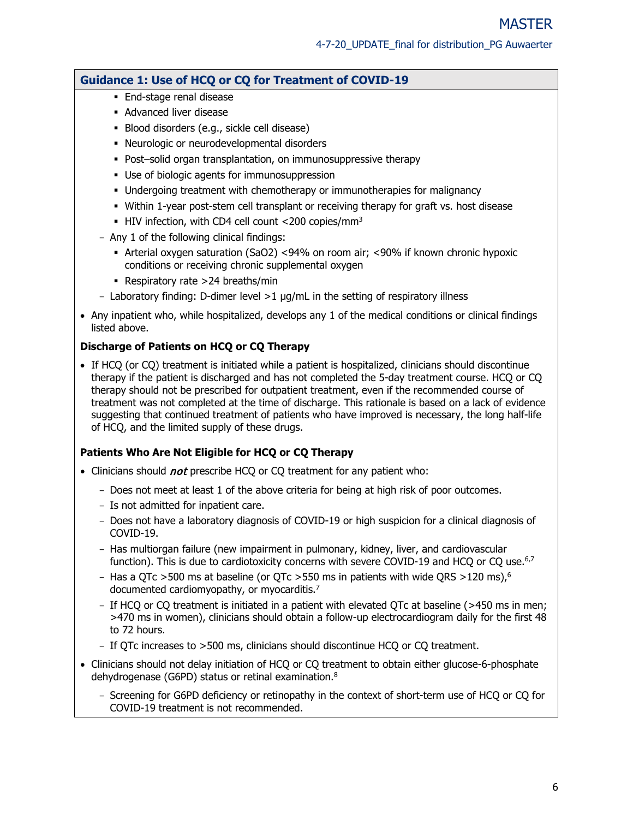#### **Guidance 1: Use of HCQ or CQ for Treatment of COVID-19**

- **End-stage renal disease**
- **Advanced liver disease**
- Blood disorders (e.g., sickle cell disease)
- Neurologic or neurodevelopmental disorders
- Post–solid organ transplantation, on immunosuppressive therapy
- Use of biologic agents for immunosuppression
- Undergoing treatment with chemotherapy or immunotherapies for malignancy
- Within 1-year post-stem cell transplant or receiving therapy for graft vs. host disease
- $\blacksquare$  HIV infection, with CD4 cell count <200 copies/mm<sup>3</sup>
- Any 1 of the following clinical findings:
	- Arterial oxygen saturation (SaO2) <94% on room air; <90% if known chronic hypoxic conditions or receiving chronic supplemental oxygen
	- Respiratory rate >24 breaths/min
- Laboratory finding: D-dimer level  $>1$  µg/mL in the setting of respiratory illness
- Any inpatient who, while hospitalized, develops any 1 of the medical conditions or clinical findings listed above.

#### **Discharge of Patients on HCQ or CQ Therapy**

• If HCQ (or CQ) treatment is initiated while a patient is hospitalized, clinicians should discontinue therapy if the patient is discharged and has not completed the 5-day treatment course. HCQ or CQ therapy should not be prescribed for outpatient treatment, even if the recommended course of treatment was not completed at the time of discharge. This rationale is based on a lack of evidence suggesting that continued treatment of patients who have improved is necessary, the long half-life of HCQ, and the limited supply of these drugs.

## **Patients Who Are Not Eligible for HCQ or CQ Therapy**

- Clinicians should *not* prescribe HCQ or CQ treatment for any patient who:
	- Does not meet at least 1 of the above criteria for being at high risk of poor outcomes.
	- Is not admitted for inpatient care.
	- Does not have a laboratory diagnosis of COVID-19 or high suspicion for a clinical diagnosis of COVID-19.
	- Has multiorgan failure (new impairment in pulmonary, kidney, liver, and cardiovascular function). This is due to cardiotoxicity concerns with severe COVID-19 and HCQ or CQ use.<sup>6,7</sup>
	- Has a QTc >500 ms at baseline (or QTc >550 ms in patients with wide QRS >120 ms), $^6$ documented cardiomyopathy, or myocarditis. 7
	- If HCQ or CQ treatment is initiated in a patient with elevated QTc at baseline (>450 ms in men; >470 ms in women), clinicians should obtain a follow-up electrocardiogram daily for the first 48 to 72 hours.
	- If OTc increases to >500 ms, clinicians should discontinue HCQ or CQ treatment.
- Clinicians should not delay initiation of HCQ or CQ treatment to obtain either glucose-6-phosphate dehydrogenase (G6PD) status or retinal examination. 8

- Screening for G6PD deficiency or retinopathy in the context of short-term use of HCO or CO for COVID-19 treatment is not recommended.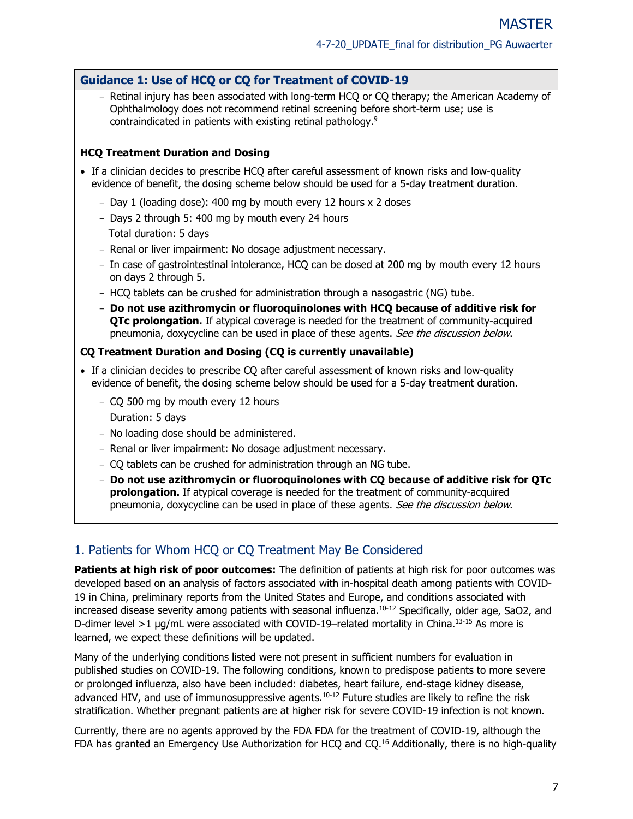#### **Guidance 1: Use of HCQ or CQ for Treatment of COVID-19**

- Retinal injury has been associated with long-term HCQ or CQ therapy; the American Academy of Ophthalmology does not recommend retinal screening before short-term use; use is contraindicated in patients with existing retinal pathology. 9

#### **HCQ Treatment Duration and Dosing**

- If a clinician decides to prescribe HCQ after careful assessment of known risks and low-quality evidence of benefit, the dosing scheme below should be used for a 5-day treatment duration.
	- Day 1 (loading dose): 400 mg by mouth every 12 hours  $x$  2 doses
	- Days 2 through 5: 400 mg by mouth every 24 hours
	- Total duration: 5 days
	- Renal or liver impairment: No dosage adjustment necessary.
	- In case of gastrointestinal intolerance, HCQ can be dosed at 200 mg by mouth every 12 hours on days 2 through 5.
	- HCQ tablets can be crushed for administration through a nasogastric (NG) tube.
	- **Do not use azithromycin or fluoroquinolones with HCQ because of additive risk for QTc prolongation.** If atypical coverage is needed for the treatment of community-acquired pneumonia, doxycycline can be used in place of these agents. See the discussion below.

#### **CQ Treatment Duration and Dosing (CQ is currently unavailable)**

- If a clinician decides to prescribe CQ after careful assessment of known risks and low-quality evidence of benefit, the dosing scheme below should be used for a 5-day treatment duration.
	- CQ 500 mg by mouth every 12 hours

Duration: 5 days

- No loading dose should be administered.
- Renal or liver impairment: No dosage adjustment necessary.
- CQ tablets can be crushed for administration through an NG tube.
- **Do not use azithromycin or fluoroquinolones with CQ because of additive risk for QTc prolongation.** If atypical coverage is needed for the treatment of community-acquired pneumonia, doxycycline can be used in place of these agents. See the discussion below.

## <span id="page-6-0"></span>1. Patients for Whom HCQ or CQ Treatment May Be Considered

**Patients at high risk of poor outcomes:** The definition of patients at high risk for poor outcomes was developed based on an analysis of factors associated with in-hospital death among patients with COVID-19 in China, preliminary reports from the United States and Europe, and conditions associated with increased disease severity among patients with seasonal influenza. 10-12 Specifically, older age, SaO2, and D-dimer level >1 µg/mL were associated with COVID-19–related mortality in China.<sup>13-15</sup> As more is learned, we expect these definitions will be updated.

Many of the underlying conditions listed were not present in sufficient numbers for evaluation in published studies on COVID-19. The following conditions, known to predispose patients to more severe or prolonged influenza, also have been included: diabetes, heart failure, end-stage kidney disease, advanced HIV, and use of immunosuppressive agents.<sup>10-12</sup> Future studies are likely to refine the risk stratification. Whether pregnant patients are at higher risk for severe COVID-19 infection is not known.

Currently, there are no agents approved by the FDA FDA for the treatment of COVID-19, although the FDA has granted an Emergency Use Authorization for HCQ and CQ. <sup>16</sup> Additionally, there is no high-quality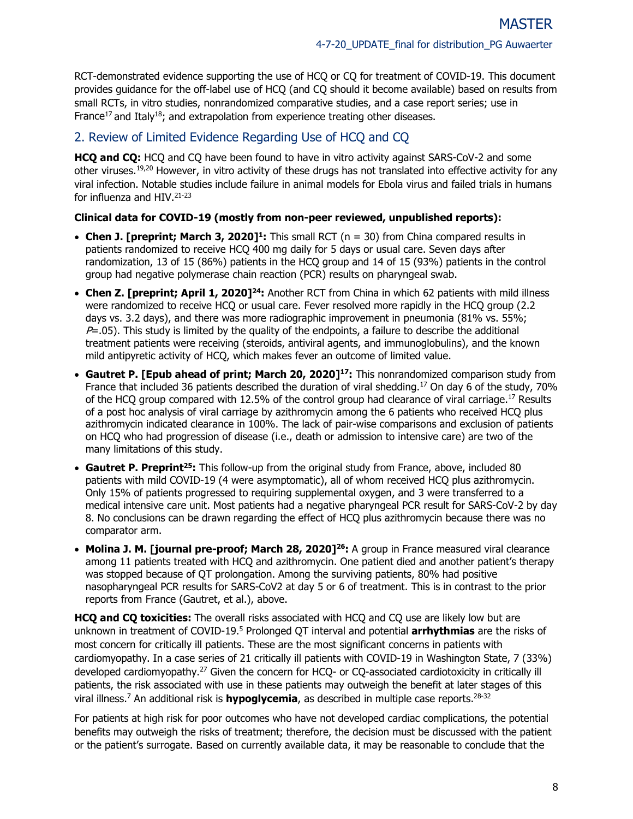RCT-demonstrated evidence supporting the use of HCQ or CQ for treatment of COVID-19. This document provides guidance for the off-label use of HCQ (and CQ should it become available) based on results from small RCTs, in vitro studies, nonrandomized comparative studies, and a case report series; use in France<sup>17</sup> and Italy<sup>18</sup>; and extrapolation from experience treating other diseases.

## <span id="page-7-0"></span>2. Review of Limited Evidence Regarding Use of HCQ and CQ

**HCQ and CQ:** HCQ and CQ have been found to have in vitro activity against SARS-CoV-2 and some other viruses. 19,20 However, in vitro activity of these drugs has not translated into effective activity for any viral infection. Notable studies include failure in animal models for Ebola virus and failed trials in humans for influenza and HIV. 21-23

## **Clinical data for COVID-19 (mostly from non-peer reviewed, unpublished reports):**

- **Chen J. [preprint; March 3, 2020]<sup>1</sup>:** This small RCT (n = 30) from China compared results in patients randomized to receive HCQ 400 mg daily for 5 days or usual care. Seven days after randomization, 13 of 15 (86%) patients in the HCQ group and 14 of 15 (93%) patients in the control group had negative polymerase chain reaction (PCR) results on pharyngeal swab.
- **Chen Z. [preprint; April 1, 2020]24:** Another RCT from China in which 62 patients with mild illness were randomized to receive HCQ or usual care. Fever resolved more rapidly in the HCQ group (2.2 days vs. 3.2 days), and there was more radiographic improvement in pneumonia (81% vs. 55%;  $P=0.05$ ). This study is limited by the quality of the endpoints, a failure to describe the additional treatment patients were receiving (steroids, antiviral agents, and immunoglobulins), and the known mild antipyretic activity of HCQ, which makes fever an outcome of limited value.
- **Gautret P. [Epub ahead of print; March 20, 2020]17:** This nonrandomized comparison study from France that included 36 patients described the duration of viral shedding. <sup>17</sup> On day 6 of the study, 70% of the HCQ group compared with 12.5% of the control group had clearance of viral carriage.<sup>17</sup> Results of a post hoc analysis of viral carriage by azithromycin among the 6 patients who received HCQ plus azithromycin indicated clearance in 100%. The lack of pair-wise comparisons and exclusion of patients on HCQ who had progression of disease (i.e., death or admission to intensive care) are two of the many limitations of this study.
- **Gautret P. Preprint25:** This follow-up from the original study from France, above, included 80 patients with mild COVID-19 (4 were asymptomatic), all of whom received HCQ plus azithromycin. Only 15% of patients progressed to requiring supplemental oxygen, and 3 were transferred to a medical intensive care unit. Most patients had a negative pharyngeal PCR result for SARS-CoV-2 by day 8. No conclusions can be drawn regarding the effect of HCQ plus azithromycin because there was no comparator arm.
- **Molina J. M. [journal pre-proof; March 28, 2020]26:** A group in France measured viral clearance among 11 patients treated with HCQ and azithromycin. One patient died and another patient's therapy was stopped because of QT prolongation. Among the surviving patients, 80% had positive nasopharyngeal PCR results for SARS-CoV2 at day 5 or 6 of treatment. This is in contrast to the prior reports from France (Gautret, et al.), above.

**HCQ and CQ toxicities:** The overall risks associated with HCQ and CQ use are likely low but are unknown in treatment of COVID-19. <sup>5</sup> Prolonged QT interval and potential **arrhythmias** are the risks of most concern for critically ill patients. These are the most significant concerns in patients with cardiomyopathy. In a case series of 21 critically ill patients with COVID-19 in Washington State, 7 (33%) developed cardiomyopathy.<sup>27</sup> Given the concern for HCQ- or CQ-associated cardiotoxicity in critically ill patients, the risk associated with use in these patients may outweigh the benefit at later stages of this viral illness. <sup>7</sup> An additional risk is **hypoglycemia**, as described in multiple case reports. 28-32

For patients at high risk for poor outcomes who have not developed cardiac complications, the potential benefits may outweigh the risks of treatment; therefore, the decision must be discussed with the patient or the patient's surrogate. Based on currently available data, it may be reasonable to conclude that the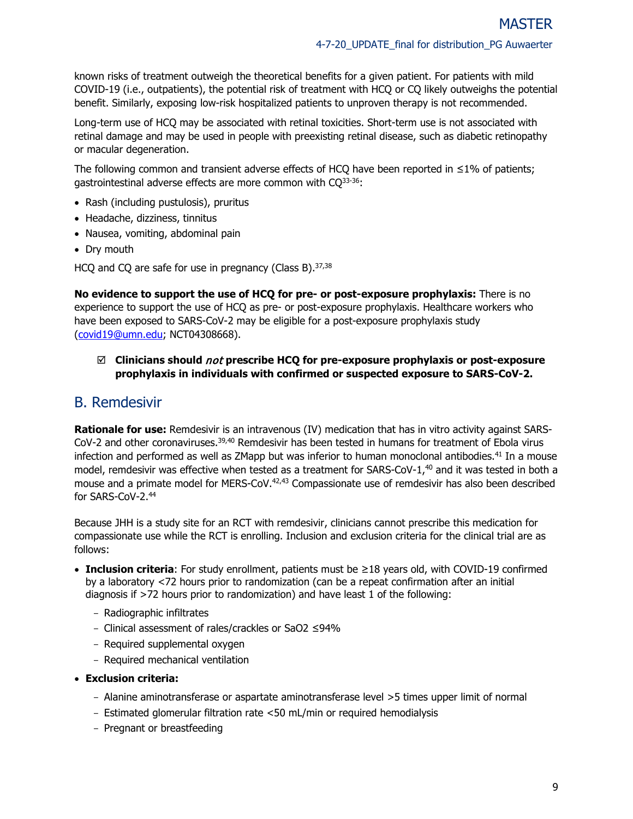Long-term use of HCQ may be associated with retinal toxicities. Short-term use is not associated with retinal damage and may be used in people with preexisting retinal disease, such as diabetic retinopathy or macular degeneration.

The following common and transient adverse effects of HCQ have been reported in  $\leq$ 1% of patients; gastrointestinal adverse effects are more common with CQ33-36:

- Rash (including pustulosis), pruritus
- Headache, dizziness, tinnitus
- Nausea, vomiting, abdominal pain
- Dry mouth

HCQ and CQ are safe for use in pregnancy (Class B).<sup>37,38</sup>

**No evidence to support the use of HCQ for pre- or post-exposure prophylaxis:** There is no experience to support the use of HCQ as pre- or post-exposure prophylaxis. Healthcare workers who have been exposed to SARS-CoV-2 may be eligible for a post-exposure prophylaxis study [\(covid19@umn.edu;](mailto:covid19@umn.edu) NCT04308668).

#### **Clinicians should** not **prescribe HCQ for pre-exposure prophylaxis or post-exposure prophylaxis in individuals with confirmed or suspected exposure to SARS-CoV-2.**

## <span id="page-8-0"></span>B. Remdesivir

**Rationale for use:** Remdesivir is an intravenous (IV) medication that has in vitro activity against SARS-CoV-2 and other coronaviruses.<sup>39,40</sup> Remdesivir has been tested in humans for treatment of Ebola virus infection and performed as well as ZMapp but was inferior to human monoclonal antibodies. <sup>41</sup> In a mouse model, remdesivir was effective when tested as a treatment for SARS-CoV-1, <sup>40</sup> and it was tested in both a mouse and a primate model for MERS-CoV.<sup>42,43</sup> Compassionate use of remdesivir has also been described for SARS-CoV-2.44

Because JHH is a study site for an [RCT with remdesivir,](https://clinicaltrials.gov/ct2/show/NCT04280705?term=remdesivir&recrs=ab&draw=2&rank=5)) clinicians cannot prescribe this medication for compassionate use while the RCT is enrolling. Inclusion and exclusion criteria for the clinical trial are as follows:

- **Inclusion criteria**: For study enrollment, patients must be ≥18 years old, with COVID-19 confirmed by a laboratory <72 hours prior to randomization (can be a repeat confirmation after an initial diagnosis if >72 hours prior to randomization) and have least 1 of the following:
	- Radiographic infiltrates
	- Clinical assessment of rales/crackles or SaO2 ≤94%
	- Required supplemental oxygen
	- Required mechanical ventilation
- **Exclusion criteria:** 
	- Alanine aminotransferase or aspartate aminotransferase level >5 times upper limit of normal
	- Estimated glomerular filtration rate <50 mL/min or required hemodialysis
	- Pregnant or breastfeeding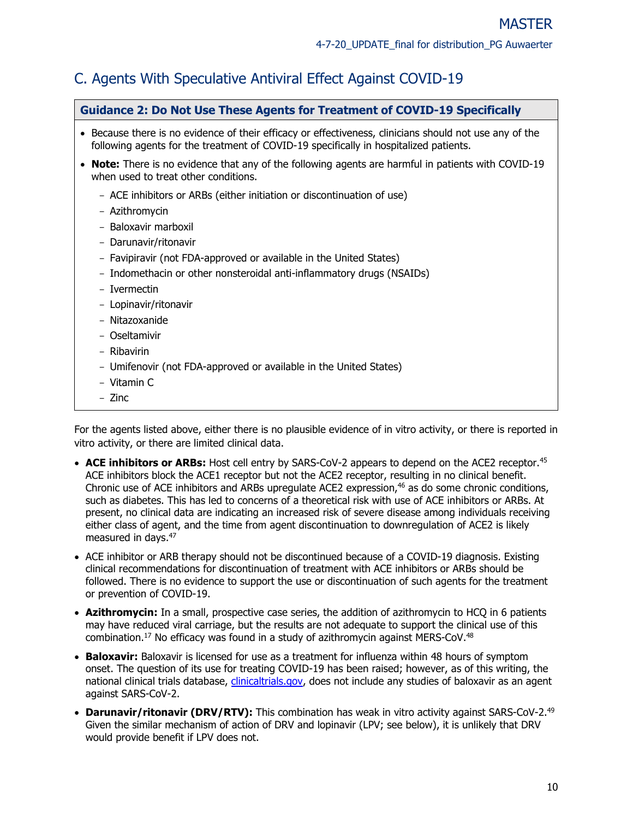# <span id="page-9-0"></span>C. Agents With Speculative Antiviral Effect Against COVID-19

<span id="page-9-1"></span>**Guidance 2: Do Not Use These Agents for Treatment of COVID-19 Specifically**

- Because there is no evidence of their efficacy or effectiveness, clinicians should not use any of the following agents for the treatment of COVID-19 specifically in hospitalized patients.
- **Note:** There is no evidence that any of the following agents are harmful in patients with COVID-19 when used to treat other conditions.
	- ACE inhibitors or ARBs (either initiation or discontinuation of use)
	- Azithromycin
	- Baloxavir marboxil
	- Darunavir/ritonavir
	- Favipiravir (not FDA-approved or available in the United States)
	- Indomethacin or other nonsteroidal anti-inflammatory drugs (NSAIDs)
	- Ivermectin
	- Lopinavir/ritonavir
	- Nitazoxanide
	- Oseltamivir
	- Ribavirin
	- Umifenovir (not FDA-approved or available in the United States)
	- Vitamin C
	- Zinc

For the agents listed above, either there is no plausible evidence of in vitro activity, or there is reported in vitro activity, or there are limited clinical data.

- **ACE inhibitors or ARBs:** Host cell entry by SARS-CoV-2 appears to depend on the ACE2 receptor. 45 ACE inhibitors block the ACE1 receptor but not the ACE2 receptor, resulting in no clinical benefit. Chronic use of ACE inhibitors and ARBs upregulate ACE2 expression, <sup>46</sup> as do some chronic conditions, such as diabetes. This has led to concerns of a theoretical risk with use of ACE inhibitors or ARBs. At present, no clinical data are indicating an increased risk of severe disease among individuals receiving either class of agent, and the time from agent discontinuation to downregulation of ACE2 is likely measured in days.47
- ACE inhibitor or ARB therapy should not be discontinued because of a COVID-19 diagnosis. Existing clinical recommendations for discontinuation of treatment with ACE inhibitors or ARBs should be followed. There is no evidence to support the use or discontinuation of such agents for the treatment or prevention of COVID-19.
- **Azithromycin:** In a small, prospective case series, the addition of azithromycin to HCQ in 6 patients may have reduced viral carriage, but the results are not adequate to support the clinical use of this combination. <sup>17</sup> No efficacy was found in a study of azithromycin against MERS-CoV. 48
- **Baloxavir:** Baloxavir is licensed for use as a treatment for influenza within 48 hours of symptom onset. The question of its use for treating COVID-19 has been raised; however, as of this writing, the national clinical trials database, *clinicaltrials.gov*, does not include any studies of baloxavir as an agent against SARS-CoV-2.
- **Darunavir/ritonavir (DRV/RTV):** This combination has weak in vitro activity against SARS-CoV-2. 49 Given the similar mechanism of action of DRV and lopinavir (LPV; see below), it is unlikely that DRV would provide benefit if LPV does not.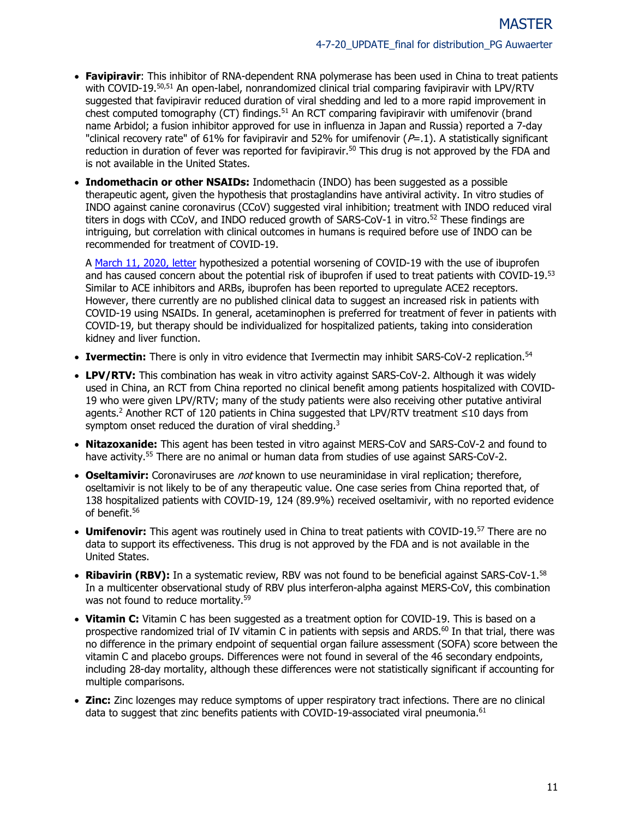- **Favipiravir**: This inhibitor of RNA-dependent RNA polymerase has been used in China to treat patients with COVID-19.<sup>50,51</sup> An open-label, nonrandomized clinical trial comparing favipiravir with LPV/RTV suggested that favipiravir reduced duration of viral shedding and led to a more rapid improvement in chest computed tomography (CT) findings.<sup>51</sup> An RCT comparing favipiravir with umifenovir (brand name Arbidol; a fusion inhibitor approved for use in influenza in Japan and Russia) reported a 7-day "clinical recovery rate" of 61% for favipiravir and 52% for umifenovir ( $P=1$ ). A statistically significant reduction in duration of fever was reported for favipiravir. <sup>50</sup> This drug is not approved by the FDA and is not available in the United States.
- **Indomethacin or other NSAIDs:** Indomethacin (INDO) has been suggested as a possible therapeutic agent, given the hypothesis that prostaglandins have antiviral activity. In vitro studies of INDO against canine coronavirus (CCoV) suggested viral inhibition; treatment with INDO reduced viral titers in dogs with CCoV, and INDO reduced growth of SARS-CoV-1 in vitro.<sup>52</sup> These findings are intriguing, but correlation with clinical outcomes in humans is required before use of INDO can be recommended for treatment of COVID-19.

A [March 11, 2020, letter](https://linkinghub.elsevier.com/retrieve/pii/S2213-2600(20)30116-8) hypothesized a potential worsening of COVID-19 with the use of ibuprofen and has caused concern about the potential risk of ibuprofen if used to treat patients with COVID-19.<sup>53</sup> Similar to ACE inhibitors and ARBs, ibuprofen has been reported to upregulate ACE2 receptors. However, there currently are no published clinical data to suggest an increased risk in patients with COVID-19 using NSAIDs. In general, acetaminophen is preferred for treatment of fever in patients with COVID-19, but therapy should be individualized for hospitalized patients, taking into consideration kidney and liver function.

- **Ivermectin:** There is only in vitro evidence that Ivermectin may inhibit SARS-CoV-2 replication. 54
- **LPV/RTV:** This combination has weak in vitro activity against SARS-CoV-2. Although it was widely used in China, an RCT from China reported no clinical benefit among patients hospitalized with COVID-19 who were given LPV/RTV; many of the study patients were also receiving other putative antiviral agents. <sup>2</sup> Another RCT of 120 patients in China suggested that LPV/RTV treatment ≤10 days from symptom onset reduced the duration of viral shedding.<sup>3</sup>
- **Nitazoxanide:** This agent has been tested in vitro against MERS-CoV and SARS-CoV-2 and found to have activity. <sup>55</sup> There are no animal or human data from studies of use against SARS-CoV-2.
- **Oseltamivir:** Coronaviruses are *not* known to use neuraminidase in viral replication; therefore, oseltamivir is not likely to be of any therapeutic value. One case series from China reported that, of 138 hospitalized patients with COVID-19, 124 (89.9%) received oseltamivir, with no reported evidence of benefit. 56
- **Umifenovir:** This agent was routinely used in China to treat patients with COVID-19. <sup>57</sup> There are no data to support its effectiveness. This drug is not approved by the FDA and is not available in the United States.
- **Ribavirin (RBV):** In a systematic review, RBV was not found to be beneficial against SARS-CoV-1. 58 In a multicenter observational study of RBV plus interferon-alpha against MERS-CoV, this combination was not found to reduce mortality. 59
- **Vitamin C:** Vitamin C has been suggested as a treatment option for COVID-19. This is based on a prospective randomized trial of IV vitamin C in patients with sepsis and ARDS.<sup>60</sup> In that trial, there was no difference in the primary endpoint of sequential organ failure assessment (SOFA) score between the vitamin C and placebo groups. Differences were not found in several of the 46 secondary endpoints, including 28-day mortality, although these differences were not statistically significant if accounting for multiple comparisons.
- **Zinc:** Zinc lozenges may reduce symptoms of upper respiratory tract infections. There are no clinical data to suggest that zinc benefits patients with COVID-19-associated viral pneumonia.<sup>61</sup>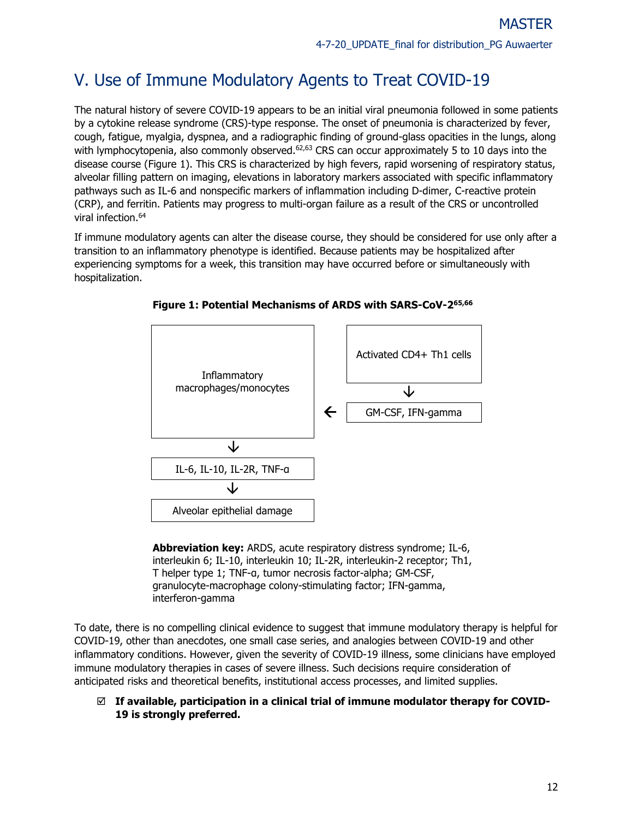# <span id="page-11-0"></span>V. Use of Immune Modulatory Agents to Treat COVID-19

The natural history of severe COVID-19 appears to be an initial viral pneumonia followed in some patients by a cytokine release syndrome (CRS)-type response. The onset of pneumonia is characterized by fever, cough, fatigue, myalgia, dyspnea, and a radiographic finding of ground-glass opacities in the lungs, along with lymphocytopenia, also commonly observed.<sup>62,63</sup> CRS can occur approximately 5 to 10 days into the disease course (Figure 1). This CRS is characterized by high fevers, rapid worsening of respiratory status, alveolar filling pattern on imaging, elevations in laboratory markers associated with specific inflammatory pathways such as IL-6 and nonspecific markers of inflammation including D-dimer, C-reactive protein (CRP), and ferritin. Patients may progress to multi-organ failure as a result of the CRS or uncontrolled viral infection. 64

If immune modulatory agents can alter the disease course, they should be considered for use only after a transition to an inflammatory phenotype is identified. Because patients may be hospitalized after experiencing symptoms for a week, this transition may have occurred before or simultaneously with hospitalization.



**Figure 1: Potential Mechanisms of ARDS with SARS-CoV-265,66**

**Abbreviation key:** ARDS, acute respiratory distress syndrome; IL-6, interleukin 6; IL-10, interleukin 10; IL-2R, interleukin-2 receptor; Th1, T helper type 1; TNF-α, tumor necrosis factor-alpha; GM-CSF, granulocyte-macrophage colony-stimulating factor; IFN-gamma, interferon-gamma

To date, there is no compelling clinical evidence to suggest that immune modulatory therapy is helpful for COVID-19, other than anecdotes, one small case series, and analogies between COVID-19 and other inflammatory conditions. However, given the severity of COVID-19 illness, some clinicians have employed immune modulatory therapies in cases of severe illness. Such decisions require consideration of anticipated risks and theoretical benefits, institutional access processes, and limited supplies.

 **If available, participation in a clinical trial of immune modulator therapy for COVID-19 is strongly preferred.**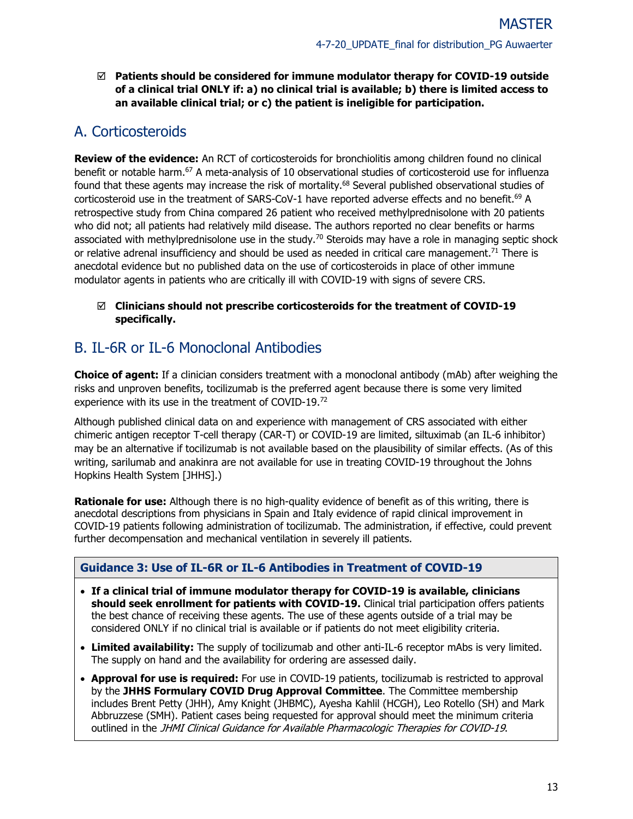**Patients should be considered for immune modulator therapy for COVID-19 outside of a clinical trial ONLY if: a) no clinical trial is available; b) there is limited access to an available clinical trial; or c) the patient is ineligible for participation.**

# <span id="page-12-0"></span>A. Corticosteroids

**Review of the evidence:** An RCT of corticosteroids for bronchiolitis among children found no clinical benefit or notable harm.67 A meta-analysis of 10 observational studies of corticosteroid use for influenza found that these agents may increase the risk of mortality.<sup>68</sup> Several published observational studies of corticosteroid use in the treatment of SARS-CoV-1 have reported adverse effects and no benefit.<sup>69</sup> A retrospective study from China compared 26 patient who received methylprednisolone with 20 patients who did not; all patients had relatively mild disease. The authors reported no clear benefits or harms associated with methylprednisolone use in the study.<sup>70</sup> Steroids may have a role in managing septic shock or relative adrenal insufficiency and should be used as needed in critical care management.<sup>71</sup> There is anecdotal evidence but no published data on the use of corticosteroids in place of other immune modulator agents in patients who are critically ill with COVID-19 with signs of severe CRS.

## **Clinicians should not prescribe corticosteroids for the treatment of COVID-19 specifically.**

# <span id="page-12-1"></span>B. IL-6R or IL-6 Monoclonal Antibodies

**Choice of agent:** If a clinician considers treatment with a monoclonal antibody (mAb) after weighing the risks and unproven benefits, tocilizumab is the preferred agent because there is some very limited experience with its use in the treatment of COVID-19. 72

Although published clinical data on and experience with management of CRS associated with either chimeric antigen receptor T-cell therapy (CAR-T) or COVID-19 are limited, siltuximab (an IL-6 inhibitor) may be an alternative if tocilizumab is not available based on the plausibility of similar effects. (As of this writing, sarilumab and anakinra are not available for use in treating COVID-19 throughout the Johns Hopkins Health System [JHHS].)

**Rationale for use:** Although there is no high-quality evidence of benefit as of this writing, there is anecdotal descriptions from physicians in Spain and Italy evidence of rapid clinical improvement in COVID-19 patients following administration of tocilizumab. The administration, if effective, could prevent further decompensation and mechanical ventilation in severely ill patients.

## <span id="page-12-2"></span>**Guidance 3: Use of IL-6R or IL-6 Antibodies in Treatment of COVID-19**

- **If a clinical trial of immune modulator therapy for COVID-19 is available, clinicians should seek enrollment for patients with COVID-19.** Clinical trial participation offers patients the best chance of receiving these agents. The use of these agents outside of a trial may be considered ONLY if no clinical trial is available or if patients do not meet eligibility criteria.
- **Limited availability:** The supply of tocilizumab and other anti-IL-6 receptor mAbs is very limited. The supply on hand and the availability for ordering are assessed daily.
- **Approval for use is required:** For use in COVID-19 patients, tocilizumab is restricted to approval by the **JHHS Formulary COVID Drug Approval Committee**. The Committee membership includes Brent Petty (JHH), Amy Knight (JHBMC), Ayesha Kahlil (HCGH), Leo Rotello (SH) and Mark Abbruzzese (SMH). Patient cases being requested for approval should meet the minimum criteria outlined in the JHMI Clinical Guidance for Available Pharmacologic Therapies for COVID-19.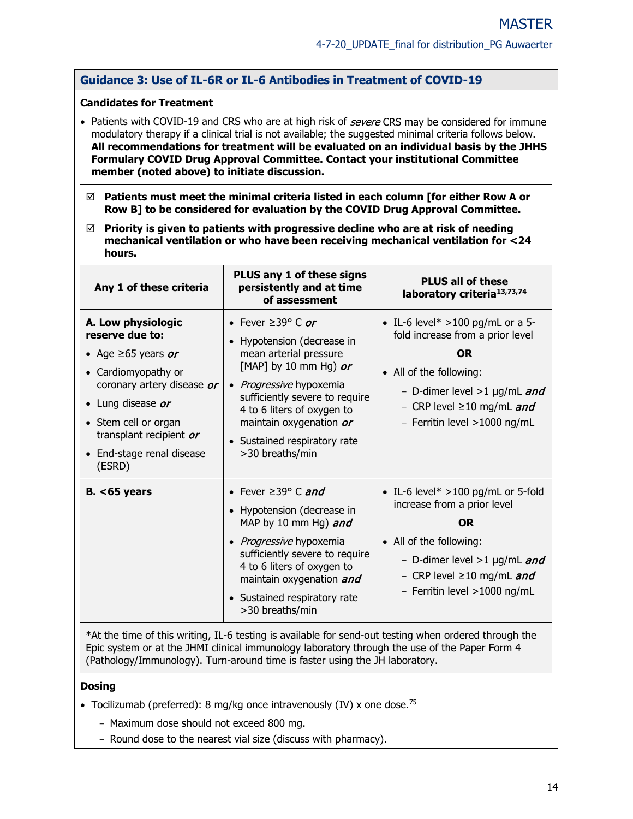## **Guidance 3: Use of IL-6R or IL-6 Antibodies in Treatment of COVID-19**

#### **Candidates for Treatment**

- Patients with COVID-19 and CRS who are at high risk of *severe* CRS may be considered for immune modulatory therapy if a clinical trial is not available; the suggested minimal criteria follows below. **All recommendations for treatment will be evaluated on an individual basis by the JHHS Formulary COVID Drug Approval Committee. Contact your institutional Committee member (noted above) to initiate discussion.**
- **Patients must meet the minimal criteria listed in each column [for either Row A or Row B] to be considered for evaluation by the COVID Drug Approval Committee.**
- **Priority is given to patients with progressive decline who are at risk of needing mechanical ventilation or who have been receiving mechanical ventilation for <24 hours.**

| Any 1 of these criteria                                                                                                                                                                                                             | <b>PLUS any 1 of these signs</b><br>persistently and at time<br>of assessment                                                                                                                                                                                                       | <b>PLUS all of these</b><br>laboratory criteria <sup>13,73,74</sup>                                                                                                                                               |
|-------------------------------------------------------------------------------------------------------------------------------------------------------------------------------------------------------------------------------------|-------------------------------------------------------------------------------------------------------------------------------------------------------------------------------------------------------------------------------------------------------------------------------------|-------------------------------------------------------------------------------------------------------------------------------------------------------------------------------------------------------------------|
| A. Low physiologic<br>reserve due to:<br>• Age $\geq 65$ years or<br>• Cardiomyopathy or<br>coronary artery disease or<br>• Lung disease or<br>• Stem cell or organ<br>transplant recipient or<br>End-stage renal disease<br>(ESRD) | • Fever $\geq$ 39° C or<br>• Hypotension (decrease in<br>mean arterial pressure<br>[MAP] by 10 mm Hg) $or$<br>• Progressive hypoxemia<br>sufficiently severe to require<br>4 to 6 liters of oxygen to<br>maintain oxygenation or<br>• Sustained respiratory rate<br>>30 breaths/min | • IL-6 level* $>100$ pg/mL or a 5-<br>fold increase from a prior level<br><b>OR</b><br>• All of the following:<br>- D-dimer level >1 µg/mL and<br>- CRP level $\geq$ 10 mg/mL and<br>- Ferritin level >1000 ng/mL |
| $B. < 65$ years                                                                                                                                                                                                                     | • Fever $\geq$ 39° C and<br>• Hypotension (decrease in<br>MAP by 10 mm Hg) and<br>• Progressive hypoxemia<br>sufficiently severe to require<br>4 to 6 liters of oxygen to<br>maintain oxygenation and<br>• Sustained respiratory rate<br>>30 breaths/min                            | • IL-6 level* $>100$ pg/mL or 5-fold<br>increase from a prior level<br><b>OR</b><br>• All of the following:<br>- D-dimer level $>1$ µg/mL and<br>- CRP level $\geq$ 10 mg/mL and<br>- Ferritin level >1000 ng/mL  |

\*At the time of this writing, IL-6 testing is available for send-out testing when ordered through the Epic system or at the JHMI clinical immunology laboratory through the use of the Paper Form 4 (Pathology/Immunology). Turn-around time is faster using the JH laboratory.

## **Dosing**

- Tocilizumab (preferred): 8 mg/kg once intravenously (IV) x one dose.<sup>75</sup>
	- Maximum dose should not exceed 800 mg.
	- Round dose to the nearest vial size (discuss with pharmacy).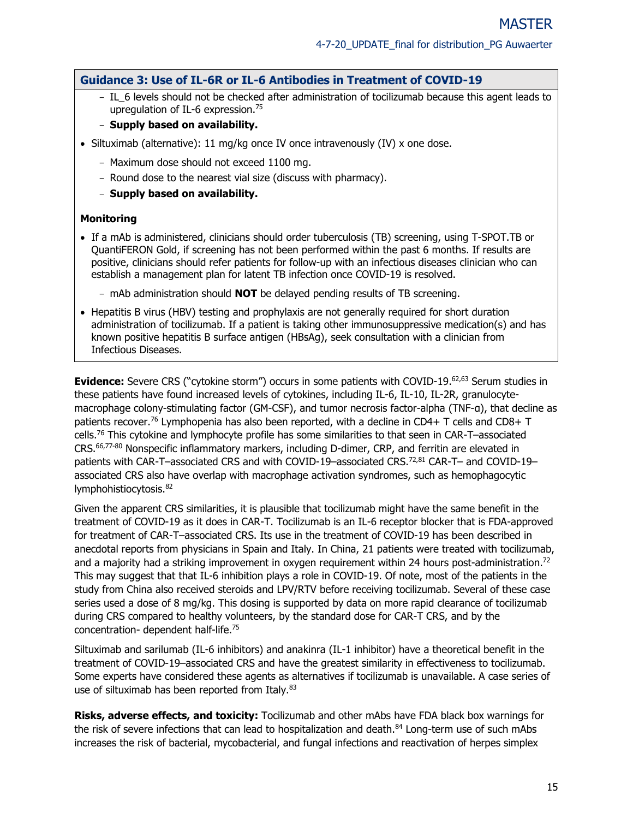#### **Guidance 3: Use of IL-6R or IL-6 Antibodies in Treatment of COVID-19**

- IL 6 levels should not be checked after administration of tocilizumab because this agent leads to upregulation of IL-6 expression. 75
- **Supply based on availability.**
- Siltuximab (alternative): 11 mg/kg once IV once intravenously (IV) x one dose.
	- Maximum dose should not exceed 1100 mg.
	- Round dose to the nearest vial size (discuss with pharmacy).
	- **Supply based on availability.**

#### **Monitoring**

- If a mAb is administered, clinicians should order tuberculosis (TB) screening, using T-SPOT.TB or QuantiFERON Gold, if screening has not been performed within the past 6 months. If results are positive, clinicians should refer patients for follow-up with an infectious diseases clinician who can establish a management plan for latent TB infection once COVID-19 is resolved.
	- mAb administration should **NOT** be delayed pending results of TB screening.
- Hepatitis B virus (HBV) testing and prophylaxis are not generally required for short duration administration of tocilizumab. If a patient is taking other immunosuppressive medication(s) and has known positive hepatitis B surface antigen (HBsAg), seek consultation with a clinician from Infectious Diseases.

**Evidence:** Severe CRS ("cytokine storm") occurs in some patients with COVID-19.<sup>62,63</sup> Serum studies in these patients have found increased levels of cytokines, including IL-6, IL-10, IL-2R, granulocytemacrophage colony-stimulating factor (GM-CSF), and tumor necrosis factor-alpha (TNF-α), that decline as patients recover.<sup>76</sup> Lymphopenia has also been reported, with a decline in CD4+ T cells and CD8+ T cells.76 This cytokine and lymphocyte profile has some similarities to that seen in CAR-T–associated CRS.66,77-80 Nonspecific inflammatory markers, including D-dimer, CRP, and ferritin are elevated in patients with CAR-T–associated CRS and with COVID-19–associated CRS.72,81 CAR-T– and COVID-19– associated CRS also have overlap with macrophage activation syndromes, such as hemophagocytic lymphohistiocytosis.<sup>82</sup>

Given the apparent CRS similarities, it is plausible that tocilizumab might have the same benefit in the treatment of COVID-19 as it does in CAR-T. Tocilizumab is an IL-6 receptor blocker that is FDA-approved for treatment of CAR-T–associated CRS. Its use in the treatment of COVID-19 has been described in anecdotal reports from physicians in Spain and Italy. In China, 21 patients were treated with tocilizumab, and a majority had a striking improvement in oxygen requirement within 24 hours post-administration.<sup>72</sup> This may suggest that that IL-6 inhibition plays a role in COVID-19. Of note, most of the patients in the study from China also received steroids and LPV/RTV before receiving tocilizumab. Several of these case series used a dose of 8 mg/kg. This dosing is supported by data on more rapid clearance of tocilizumab during CRS compared to healthy volunteers, by the standard dose for CAR-T CRS, and by the concentration- dependent half-life. 75

Siltuximab and sarilumab (IL-6 inhibitors) and anakinra (IL-1 inhibitor) have a theoretical benefit in the treatment of COVID-19–associated CRS and have the greatest similarity in effectiveness to tocilizumab. Some experts have considered these agents as alternatives if tocilizumab is unavailable. A case series of use of siltuximab has been reported from Italy. 83

**Risks, adverse effects, and toxicity:** Tocilizumab and other mAbs have FDA black box warnings for the risk of severe infections that can lead to hospitalization and death.<sup>84</sup> Long-term use of such mAbs increases the risk of bacterial, mycobacterial, and fungal infections and reactivation of herpes simplex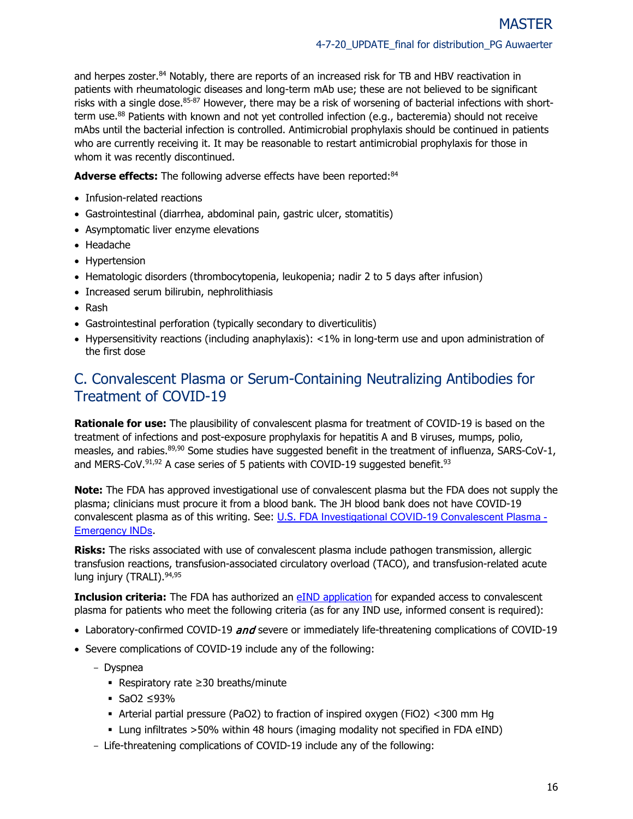and herpes zoster.<sup>84</sup> Notably, there are reports of an increased risk for TB and HBV reactivation in patients with rheumatologic diseases and long-term mAb use; these are not believed to be significant risks with a single dose.<sup>85-87</sup> However, there may be a risk of worsening of bacterial infections with shortterm use. <sup>88</sup> Patients with known and not yet controlled infection (e.g., bacteremia) should not receive mAbs until the bacterial infection is controlled. Antimicrobial prophylaxis should be continued in patients who are currently receiving it. It may be reasonable to restart antimicrobial prophylaxis for those in whom it was recently discontinued.

Adverse effects: The following adverse effects have been reported:<sup>84</sup>

- Infusion-related reactions
- Gastrointestinal (diarrhea, abdominal pain, gastric ulcer, stomatitis)
- Asymptomatic liver enzyme elevations
- Headache
- Hypertension
- Hematologic disorders (thrombocytopenia, leukopenia; nadir 2 to 5 days after infusion)
- Increased serum bilirubin, nephrolithiasis
- Rash
- Gastrointestinal perforation (typically secondary to diverticulitis)
- Hypersensitivity reactions (including anaphylaxis): <1% in long-term use and upon administration of the first dose

# <span id="page-15-0"></span>C. Convalescent Plasma or Serum-Containing Neutralizing Antibodies for Treatment of COVID-19

**Rationale for use:** The plausibility of convalescent plasma for treatment of COVID-19 is based on the treatment of infections and post-exposure prophylaxis for hepatitis A and B viruses, mumps, polio, measles, and rabies.<sup>89,90</sup> Some studies have suggested benefit in the treatment of influenza, SARS-CoV-1, and MERS-CoV. $91,92$  A case series of 5 patients with COVID-19 suggested benefit.  $93$ 

**Note:** The FDA has approved investigational use of convalescent plasma but the FDA does not supply the plasma; clinicians must procure it from a blood bank. The JH blood bank does not have COVID-19 convalescent plasma as of this writing. See: U.S. FDA [Investigational COVID-19 Convalescent Plasma -](https://www.fda.gov/vaccines-blood-biologics/investigational-new-drug-ind-or-device-exemption-ide-process-cber/investigational-covid-19-convalescent-plasma-emergency-inds) [Emergency INDs](https://www.fda.gov/vaccines-blood-biologics/investigational-new-drug-ind-or-device-exemption-ide-process-cber/investigational-covid-19-convalescent-plasma-emergency-inds).

**Risks:** The risks associated with use of convalescent plasma include pathogen transmission, allergic transfusion reactions, transfusion-associated circulatory overload (TACO), and transfusion-related acute lung injury (TRALI). 94,95

**Inclusion criteria:** The FDA has authorized an [eIND application](https://www.fda.gov/vaccines-blood-biologics/investigational-new-drug-ind-or-device-exemption-ide-process-cber/investigational-covid-19-convalescent-plasma-emergency-inds) for expanded access to convalescent plasma for patients who meet the following criteria (as for any IND use, informed consent is required):

- Laboratory-confirmed COVID-19  $and$  severe or immediately life-threatening complications of COVID-19
- Severe complications of COVID-19 include any of the following:
	- Dyspnea
		- Respiratory rate ≥30 breaths/minute
		- SaO2 ≤93%
		- Arterial partial pressure (PaO2) to fraction of inspired oxygen (FiO2) <300 mm Hg
		- Lung infiltrates >50% within 48 hours (imaging modality not specified in FDA eIND)
	- Life-threatening complications of COVID-19 include any of the following: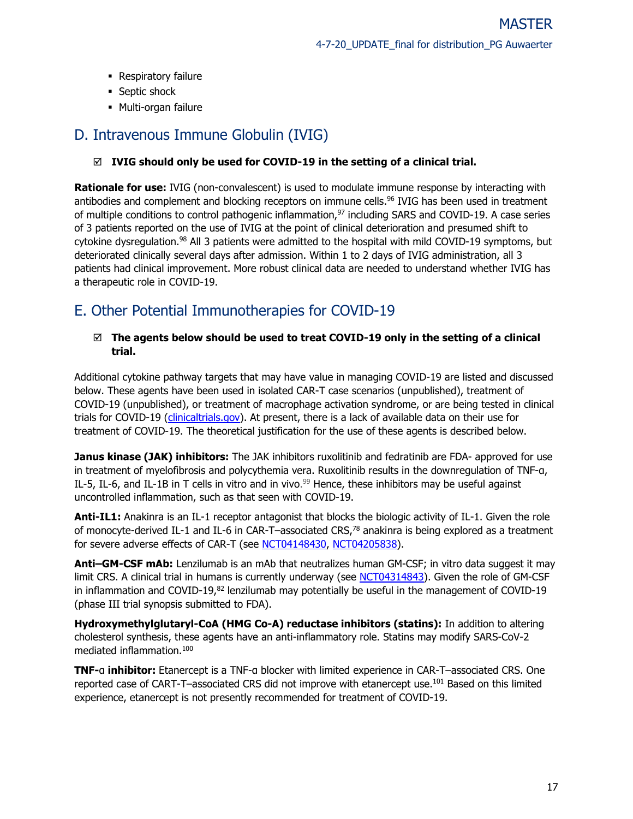- **Respiratory failure**
- **Septic shock**
- Multi-organ failure

# <span id="page-16-0"></span>D. Intravenous Immune Globulin (IVIG)

## **IVIG should only be used for COVID-19 in the setting of a clinical trial.**

**Rationale for use:** IVIG (non-convalescent) is used to modulate immune response by interacting with antibodies and complement and blocking receptors on immune cells.<sup>96</sup> IVIG has been used in treatment of multiple conditions to control pathogenic inflammation, <sup>97</sup> including SARS and COVID-19. A case series of 3 patients reported on the use of IVIG at the point of clinical deterioration and presumed shift to cytokine dysregulation.<sup>98</sup> All 3 patients were admitted to the hospital with mild COVID-19 symptoms, but deteriorated clinically several days after admission. Within 1 to 2 days of IVIG administration, all 3 patients had clinical improvement. More robust clinical data are needed to understand whether IVIG has a therapeutic role in COVID-19.

# <span id="page-16-1"></span>E. Other Potential Immunotherapies for COVID-19

## **The agents below should be used to treat COVID-19 only in the setting of a clinical trial.**

Additional cytokine pathway targets that may have value in managing COVID-19 are listed and discussed below. These agents have been used in isolated CAR-T case scenarios (unpublished), treatment of COVID-19 (unpublished), or treatment of macrophage activation syndrome, or are being tested in clinical trials for COVID-19 [\(clinicaltrials.gov\)](https://www.clinicaltrials.gov/). At present, there is a lack of available data on their use for treatment of COVID-19. The theoretical justification for the use of these agents is described below.

**Janus kinase (JAK) inhibitors:** The JAK inhibitors ruxolitinib and fedratinib are FDA- approved for use in treatment of myelofibrosis and polycythemia vera. Ruxolitinib results in the downregulation of TNF-α, IL-5, IL-6, and IL-1B in T cells in vitro and in vivo.<sup>99</sup> Hence, these inhibitors may be useful against uncontrolled inflammation, such as that seen with COVID-19.

**Anti-IL1:** Anakinra is an IL-1 receptor antagonist that blocks the biologic activity of IL-1. Given the role of monocyte-derived IL-1 and IL-6 in CAR-T–associated CRS,78 anakinra is being explored as a treatment for severe adverse effects of CAR-T (see [NCT04148430,](https://clinicaltrials.gov/ct2/show/NCT04148430) [NCT04205838\)](https://clinicaltrials.gov/ct2/show/NCT04205838).

**Anti–GM-CSF mAb:** Lenzilumab is an mAb that neutralizes human GM-CSF; in vitro data suggest it may limit CRS. A clinical trial in humans is currently underway (see [NCT04314843\)](https://clinicaltrials.gov/ct2/show/NCT04314843). Given the role of GM-CSF in inflammation and COVID-19, $82$  lenzilumab may potentially be useful in the management of COVID-19 (phase III trial synopsis submitted to FDA).

**Hydroxymethylglutaryl-CoA (HMG Co-A) reductase inhibitors (statins):** In addition to altering cholesterol synthesis, these agents have an anti-inflammatory role. Statins may modify SARS-CoV-2 mediated inflammation.<sup>100</sup>

**TNF-**α **inhibitor:** Etanercept is a TNF-α blocker with limited experience in CAR-T–associated CRS. One reported case of CART-T-associated CRS did not improve with etanercept use.<sup>101</sup> Based on this limited experience, etanercept is not presently recommended for treatment of COVID-19.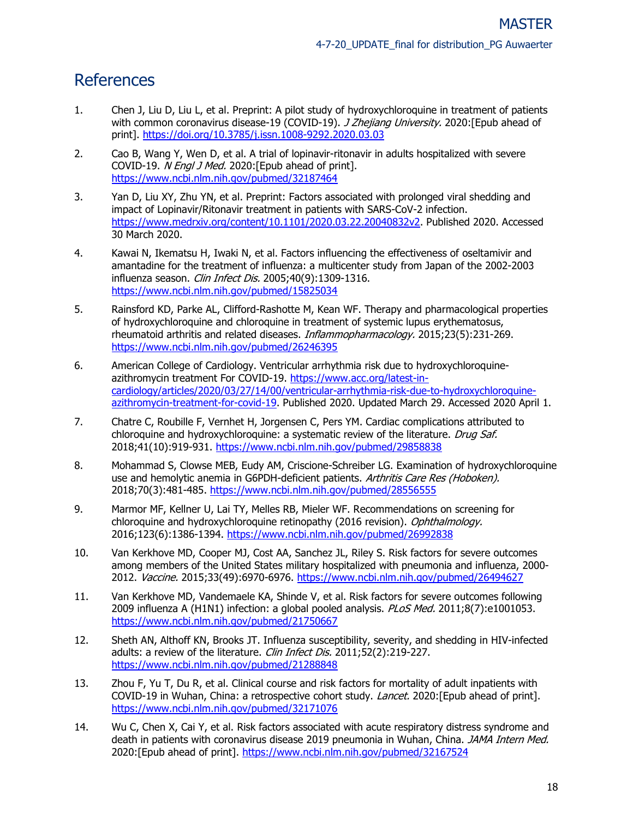# <span id="page-17-0"></span>**References**

- 1. Chen J, Liu D, Liu L, et al. Preprint: A pilot study of hydroxychloroquine in treatment of patients with common coronavirus disease-19 (COVID-19). *J Zhejiang University.* 2020:[Epub ahead of print].<https://doi.org/10.3785/j.issn.1008-9292.2020.03.03>
- 2. Cao B, Wang Y, Wen D, et al. A trial of lopinavir-ritonavir in adults hospitalized with severe COVID-19. N Engl J Med. 2020: [Epub ahead of print]. <https://www.ncbi.nlm.nih.gov/pubmed/32187464>
- 3. Yan D, Liu XY, Zhu YN, et al. Preprint: Factors associated with prolonged viral shedding and impact of Lopinavir/Ritonavir treatment in patients with SARS-CoV-2 infection. [https://www.medrxiv.org/content/10.1101/2020.03.22.20040832v2.](https://www.medrxiv.org/content/10.1101/2020.03.22.20040832v2) Published 2020. Accessed 30 March 2020.
- 4. Kawai N, Ikematsu H, Iwaki N, et al. Factors influencing the effectiveness of oseltamivir and amantadine for the treatment of influenza: a multicenter study from Japan of the 2002-2003 influenza season. Clin Infect Dis. 2005;40(9):1309-1316. <https://www.ncbi.nlm.nih.gov/pubmed/15825034>
- 5. Rainsford KD, Parke AL, Clifford-Rashotte M, Kean WF. Therapy and pharmacological properties of hydroxychloroquine and chloroquine in treatment of systemic lupus erythematosus, rheumatoid arthritis and related diseases. Inflammopharmacology. 2015;23(5):231-269. <https://www.ncbi.nlm.nih.gov/pubmed/26246395>
- 6. American College of Cardiology. Ventricular arrhythmia risk due to hydroxychloroquineazithromycin treatment For COVID-19. [https://www.acc.org/latest-in](https://www.acc.org/latest-in-cardiology/articles/2020/03/27/14/00/ventricular-arrhythmia-risk-due-to-hydroxychloroquine-azithromycin-treatment-for-covid-19)[cardiology/articles/2020/03/27/14/00/ventricular-arrhythmia-risk-due-to-hydroxychloroquine](https://www.acc.org/latest-in-cardiology/articles/2020/03/27/14/00/ventricular-arrhythmia-risk-due-to-hydroxychloroquine-azithromycin-treatment-for-covid-19)[azithromycin-treatment-for-covid-19.](https://www.acc.org/latest-in-cardiology/articles/2020/03/27/14/00/ventricular-arrhythmia-risk-due-to-hydroxychloroquine-azithromycin-treatment-for-covid-19) Published 2020. Updated March 29. Accessed 2020 April 1.
- 7. Chatre C, Roubille F, Vernhet H, Jorgensen C, Pers YM. Cardiac complications attributed to chloroquine and hydroxychloroquine: a systematic review of the literature. *Drug Saf.* 2018;41(10):919-931.<https://www.ncbi.nlm.nih.gov/pubmed/29858838>
- 8. Mohammad S, Clowse MEB, Eudy AM, Criscione-Schreiber LG. Examination of hydroxychloroquine use and hemolytic anemia in G6PDH-deficient patients. Arthritis Care Res (Hoboken). 2018;70(3):481-485.<https://www.ncbi.nlm.nih.gov/pubmed/28556555>
- 9. Marmor MF, Kellner U, Lai TY, Melles RB, Mieler WF. Recommendations on screening for chloroquine and hydroxychloroquine retinopathy (2016 revision). Ophthalmology. 2016;123(6):1386-1394.<https://www.ncbi.nlm.nih.gov/pubmed/26992838>
- 10. Van Kerkhove MD, Cooper MJ, Cost AA, Sanchez JL, Riley S. Risk factors for severe outcomes among members of the United States military hospitalized with pneumonia and influenza, 2000- 2012. Vaccine. 2015;33(49):6970-6976.<https://www.ncbi.nlm.nih.gov/pubmed/26494627>
- 11. Van Kerkhove MD, Vandemaele KA, Shinde V, et al. Risk factors for severe outcomes following 2009 influenza A (H1N1) infection: a global pooled analysis. PLoS Med. 2011;8(7):e1001053. <https://www.ncbi.nlm.nih.gov/pubmed/21750667>
- 12. Sheth AN, Althoff KN, Brooks JT. Influenza susceptibility, severity, and shedding in HIV-infected adults: a review of the literature. Clin Infect Dis. 2011;52(2):219-227. <https://www.ncbi.nlm.nih.gov/pubmed/21288848>
- 13. Zhou F, Yu T, Du R, et al. Clinical course and risk factors for mortality of adult inpatients with COVID-19 in Wuhan, China: a retrospective cohort study. Lancet. 2020:[Epub ahead of print]. <https://www.ncbi.nlm.nih.gov/pubmed/32171076>
- 14. Wu C, Chen X, Cai Y, et al. Risk factors associated with acute respiratory distress syndrome and death in patients with coronavirus disease 2019 pneumonia in Wuhan, China. JAMA Intern Med. 2020:[Epub ahead of print].<https://www.ncbi.nlm.nih.gov/pubmed/32167524>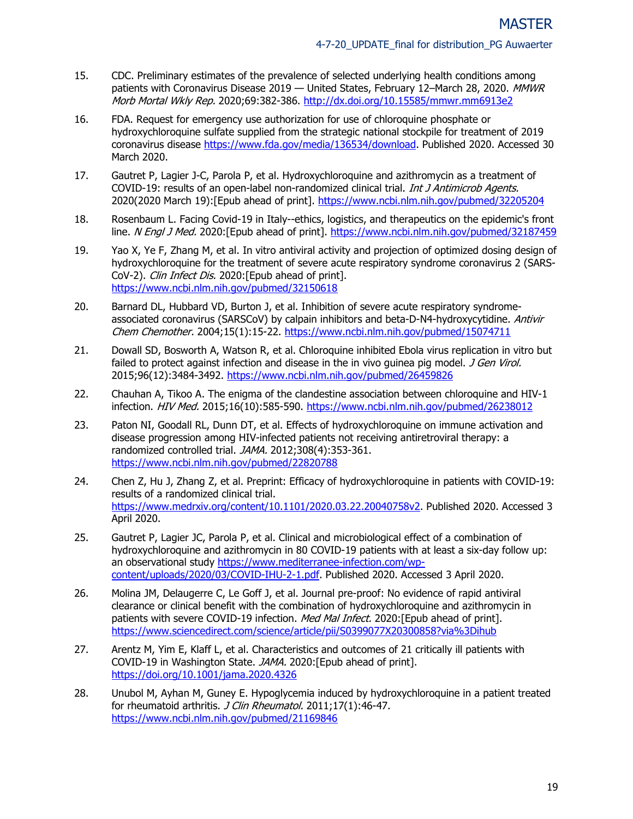- 15. CDC. Preliminary estimates of the prevalence of selected underlying health conditions among patients with Coronavirus Disease 2019 — United States, February 12-March 28, 2020. MMWR Morb Mortal Wkly Rep. 2020;69:382-386.<http://dx.doi.org/10.15585/mmwr.mm6913e2>
- 16. FDA. Request for emergency use authorization for use of chloroquine phosphate or hydroxychloroquine sulfate supplied from the strategic national stockpile for treatment of 2019 coronavirus disease [https://www.fda.gov/media/136534/download.](https://www.fda.gov/media/136534/download) Published 2020. Accessed 30 March 2020.
- 17. Gautret P, Lagier J-C, Parola P, et al. Hydroxychloroquine and azithromycin as a treatment of COVID-19: results of an open-label non-randomized clinical trial. Int J Antimicrob Agents. 2020(2020 March 19):[Epub ahead of print].<https://www.ncbi.nlm.nih.gov/pubmed/32205204>
- 18. Rosenbaum L. Facing Covid-19 in Italy--ethics, logistics, and therapeutics on the epidemic's front line. N Engl J Med. 2020: [Epub ahead of print].<https://www.ncbi.nlm.nih.gov/pubmed/32187459>
- 19. Yao X, Ye F, Zhang M, et al. In vitro antiviral activity and projection of optimized dosing design of hydroxychloroquine for the treatment of severe acute respiratory syndrome coronavirus 2 (SARS-CoV-2). Clin Infect Dis. 2020: [Epub ahead of print]. <https://www.ncbi.nlm.nih.gov/pubmed/32150618>
- 20. Barnard DL, Hubbard VD, Burton J, et al. Inhibition of severe acute respiratory syndromeassociated coronavirus (SARSCoV) by calpain inhibitors and beta-D-N4-hydroxycytidine. Antivir Chem Chemother. 2004;15(1):15-22.<https://www.ncbi.nlm.nih.gov/pubmed/15074711>
- 21. Dowall SD, Bosworth A, Watson R, et al. Chloroquine inhibited Ebola virus replication in vitro but failed to protect against infection and disease in the in vivo guinea pig model. *J Gen Virol.* 2015;96(12):3484-3492.<https://www.ncbi.nlm.nih.gov/pubmed/26459826>
- 22. Chauhan A, Tikoo A. The enigma of the clandestine association between chloroquine and HIV-1 infection. HIV Med. 2015;16(10):585-590.<https://www.ncbi.nlm.nih.gov/pubmed/26238012>
- 23. Paton NI, Goodall RL, Dunn DT, et al. Effects of hydroxychloroquine on immune activation and disease progression among HIV-infected patients not receiving antiretroviral therapy: a randomized controlled trial. JAMA. 2012;308(4):353-361. <https://www.ncbi.nlm.nih.gov/pubmed/22820788>
- 24. Chen Z, Hu J, Zhang Z, et al. Preprint: Efficacy of hydroxychloroquine in patients with COVID-19: results of a randomized clinical trial. [https://www.medrxiv.org/content/10.1101/2020.03.22.20040758v2.](https://www.medrxiv.org/content/10.1101/2020.03.22.20040758v2) Published 2020. Accessed 3 April 2020.
- 25. Gautret P, Lagier JC, Parola P, et al. Clinical and microbiological effect of a combination of hydroxychloroquine and azithromycin in 80 COVID-19 patients with at least a six-day follow up: an observational study [https://www.mediterranee-infection.com/wp](https://www.mediterranee-infection.com/wp-content/uploads/2020/03/COVID-IHU-2-1.pdf)[content/uploads/2020/03/COVID-IHU-2-1.pdf.](https://www.mediterranee-infection.com/wp-content/uploads/2020/03/COVID-IHU-2-1.pdf) Published 2020. Accessed 3 April 2020.
- 26. Molina JM, Delaugerre C, Le Goff J, et al. Journal pre-proof: No evidence of rapid antiviral clearance or clinical benefit with the combination of hydroxychloroquine and azithromycin in patients with severe COVID-19 infection. *Med Mal Infect.* 2020:[Epub ahead of print]. <https://www.sciencedirect.com/science/article/pii/S0399077X20300858?via%3Dihub>
- 27. Arentz M, Yim E, Klaff L, et al. Characteristics and outcomes of 21 critically ill patients with COVID-19 in Washington State. JAMA. 2020:[Epub ahead of print]. <https://doi.org/10.1001/jama.2020.4326>
- 28. Unubol M, Ayhan M, Guney E. Hypoglycemia induced by hydroxychloroquine in a patient treated for rheumatoid arthritis. J Clin Rheumatol. 2011;17(1):46-47. <https://www.ncbi.nlm.nih.gov/pubmed/21169846>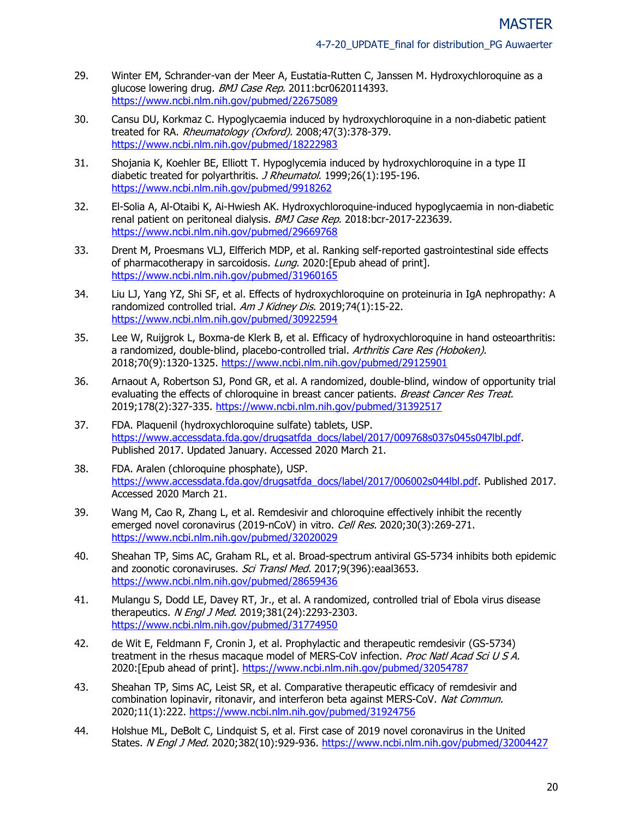- 29. Winter EM, Schrander-van der Meer A, Eustatia-Rutten C, Janssen M. Hydroxychloroquine as a glucose lowering drug. BMJ Case Rep. 2011:bcr0620114393. <https://www.ncbi.nlm.nih.gov/pubmed/22675089>
- 30. Cansu DU, Korkmaz C. Hypoglycaemia induced by hydroxychloroquine in a non-diabetic patient treated for RA. Rheumatology (Oxford). 2008;47(3):378-379. <https://www.ncbi.nlm.nih.gov/pubmed/18222983>
- 31. Shojania K, Koehler BE, Elliott T. Hypoglycemia induced by hydroxychloroquine in a type II diabetic treated for polyarthritis. *J Rheumatol.* 1999;26(1):195-196. <https://www.ncbi.nlm.nih.gov/pubmed/9918262>
- 32. El-Solia A, Al-Otaibi K, Ai-Hwiesh AK. Hydroxychloroquine-induced hypoglycaemia in non-diabetic renal patient on peritoneal dialysis. BMJ Case Rep. 2018:bcr-2017-223639. <https://www.ncbi.nlm.nih.gov/pubmed/29669768>
- 33. Drent M, Proesmans VLJ, Elfferich MDP, et al. Ranking self-reported gastrointestinal side effects of pharmacotherapy in sarcoidosis. *Lung.* 2020:[Epub ahead of print]. <https://www.ncbi.nlm.nih.gov/pubmed/31960165>
- 34. Liu LJ, Yang YZ, Shi SF, et al. Effects of hydroxychloroquine on proteinuria in IgA nephropathy: A randomized controlled trial. Am J Kidney Dis. 2019;74(1):15-22. <https://www.ncbi.nlm.nih.gov/pubmed/30922594>
- 35. Lee W, Ruijgrok L, Boxma-de Klerk B, et al. Efficacy of hydroxychloroquine in hand osteoarthritis: a randomized, double-blind, placebo-controlled trial. Arthritis Care Res (Hoboken). 2018;70(9):1320-1325.<https://www.ncbi.nlm.nih.gov/pubmed/29125901>
- 36. Arnaout A, Robertson SJ, Pond GR, et al. A randomized, double-blind, window of opportunity trial evaluating the effects of chloroquine in breast cancer patients. Breast Cancer Res Treat. 2019;178(2):327-335.<https://www.ncbi.nlm.nih.gov/pubmed/31392517>
- 37. FDA. Plaquenil (hydroxychloroquine sulfate) tablets, USP. [https://www.accessdata.fda.gov/drugsatfda\\_docs/label/2017/009768s037s045s047lbl.pdf.](https://www.accessdata.fda.gov/drugsatfda_docs/label/2017/009768s037s045s047lbl.pdf) Published 2017. Updated January. Accessed 2020 March 21.
- 38. FDA. Aralen (chloroquine phosphate), USP. [https://www.accessdata.fda.gov/drugsatfda\\_docs/label/2017/006002s044lbl.pdf.](https://www.accessdata.fda.gov/drugsatfda_docs/label/2017/006002s044lbl.pdf) Published 2017. Accessed 2020 March 21.
- 39. Wang M, Cao R, Zhang L, et al. Remdesivir and chloroquine effectively inhibit the recently emerged novel coronavirus (2019-nCoV) in vitro. Cell Res. 2020;30(3):269-271. <https://www.ncbi.nlm.nih.gov/pubmed/32020029>
- 40. Sheahan TP, Sims AC, Graham RL, et al. Broad-spectrum antiviral GS-5734 inhibits both epidemic and zoonotic coronaviruses. Sci Transl Med. 2017;9(396):eaal3653. <https://www.ncbi.nlm.nih.gov/pubmed/28659436>
- 41. Mulangu S, Dodd LE, Davey RT, Jr., et al. A randomized, controlled trial of Ebola virus disease therapeutics. N Engl J Med. 2019;381(24):2293-2303. <https://www.ncbi.nlm.nih.gov/pubmed/31774950>
- 42. de Wit E, Feldmann F, Cronin J, et al. Prophylactic and therapeutic remdesivir (GS-5734) treatment in the rhesus macaque model of MERS-CoV infection. Proc Natl Acad Sci U S A. 2020:[Epub ahead of print].<https://www.ncbi.nlm.nih.gov/pubmed/32054787>
- 43. Sheahan TP, Sims AC, Leist SR, et al. Comparative therapeutic efficacy of remdesivir and combination lopinavir, ritonavir, and interferon beta against MERS-CoV. Nat Commun. 2020;11(1):222.<https://www.ncbi.nlm.nih.gov/pubmed/31924756>
- 44. Holshue ML, DeBolt C, Lindquist S, et al. First case of 2019 novel coronavirus in the United States. N Engl J Med. 2020;382(10):929-936.<https://www.ncbi.nlm.nih.gov/pubmed/32004427>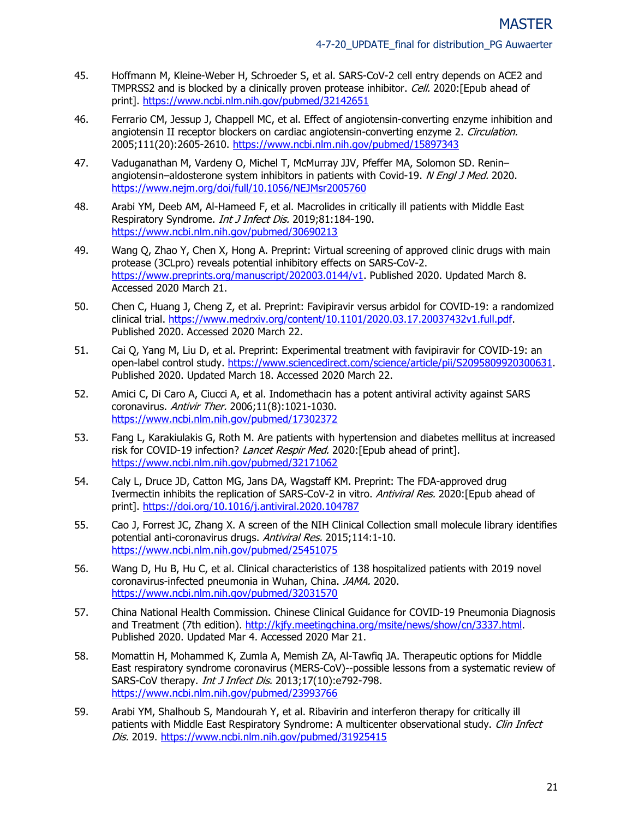- 45. Hoffmann M, Kleine-Weber H, Schroeder S, et al. SARS-CoV-2 cell entry depends on ACE2 and TMPRSS2 and is blocked by a clinically proven protease inhibitor. Cell. 2020: [Epub ahead of print].<https://www.ncbi.nlm.nih.gov/pubmed/32142651>
- 46. Ferrario CM, Jessup J, Chappell MC, et al. Effect of angiotensin-converting enzyme inhibition and angiotensin II receptor blockers on cardiac angiotensin-converting enzyme 2. Circulation. 2005;111(20):2605-2610.<https://www.ncbi.nlm.nih.gov/pubmed/15897343>
- 47. Vaduganathan M, Vardeny O, Michel T, McMurray JJV, Pfeffer MA, Solomon SD. Renin– angiotensin–aldosterone system inhibitors in patients with Covid-19. N Engl J Med. 2020. <https://www.nejm.org/doi/full/10.1056/NEJMsr2005760>
- 48. Arabi YM, Deeb AM, Al-Hameed F, et al. Macrolides in critically ill patients with Middle East Respiratory Syndrome. Int J Infect Dis. 2019;81:184-190. <https://www.ncbi.nlm.nih.gov/pubmed/30690213>
- 49. Wang Q, Zhao Y, Chen X, Hong A. Preprint: Virtual screening of approved clinic drugs with main protease (3CLpro) reveals potential inhibitory effects on SARS-CoV-2. [https://www.preprints.org/manuscript/202003.0144/v1.](https://www.preprints.org/manuscript/202003.0144/v1) Published 2020. Updated March 8. Accessed 2020 March 21.
- 50. Chen C, Huang J, Cheng Z, et al. Preprint: Favipiravir versus arbidol for COVID-19: a randomized clinical trial. [https://www.medrxiv.org/content/10.1101/2020.03.17.20037432v1.full.pdf.](https://www.medrxiv.org/content/10.1101/2020.03.17.20037432v1.full.pdf) Published 2020. Accessed 2020 March 22.
- 51. Cai Q, Yang M, Liu D, et al. Preprint: Experimental treatment with favipiravir for COVID-19: an open-label control study. [https://www.sciencedirect.com/science/article/pii/S2095809920300631.](https://www.sciencedirect.com/science/article/pii/S2095809920300631) Published 2020. Updated March 18. Accessed 2020 March 22.
- 52. Amici C, Di Caro A, Ciucci A, et al. Indomethacin has a potent antiviral activity against SARS coronavirus. Antivir Ther. 2006;11(8):1021-1030. <https://www.ncbi.nlm.nih.gov/pubmed/17302372>
- 53. Fang L, Karakiulakis G, Roth M. Are patients with hypertension and diabetes mellitus at increased risk for COVID-19 infection? Lancet Respir Med. 2020:[Epub ahead of print]. <https://www.ncbi.nlm.nih.gov/pubmed/32171062>
- 54. Caly L, Druce JD, Catton MG, Jans DA, Wagstaff KM. Preprint: The FDA-approved drug Ivermectin inhibits the replication of SARS-CoV-2 in vitro. Antiviral Res. 2020:[Epub ahead of print].<https://doi.org/10.1016/j.antiviral.2020.104787>
- 55. Cao J, Forrest JC, Zhang X. A screen of the NIH Clinical Collection small molecule library identifies potential anti-coronavirus drugs. Antiviral Res. 2015;114:1-10. <https://www.ncbi.nlm.nih.gov/pubmed/25451075>
- 56. Wang D, Hu B, Hu C, et al. Clinical characteristics of 138 hospitalized patients with 2019 novel coronavirus-infected pneumonia in Wuhan, China. JAMA. 2020. <https://www.ncbi.nlm.nih.gov/pubmed/32031570>
- 57. China National Health Commission. Chinese Clinical Guidance for COVID-19 Pneumonia Diagnosis and Treatment (7th edition). [http://kjfy.meetingchina.org/msite/news/show/cn/3337.html.](http://kjfy.meetingchina.org/msite/news/show/cn/3337.html) Published 2020. Updated Mar 4. Accessed 2020 Mar 21.
- 58. Momattin H, Mohammed K, Zumla A, Memish ZA, Al-Tawfiq JA. Therapeutic options for Middle East respiratory syndrome coronavirus (MERS-CoV)--possible lessons from a systematic review of SARS-CoV therapy. *Int J Infect Dis.* 2013;17(10):e792-798. <https://www.ncbi.nlm.nih.gov/pubmed/23993766>
- 59. Arabi YM, Shalhoub S, Mandourah Y, et al. Ribavirin and interferon therapy for critically ill patients with Middle East Respiratory Syndrome: A multicenter observational study. Clin Infect Dis. 2019.<https://www.ncbi.nlm.nih.gov/pubmed/31925415>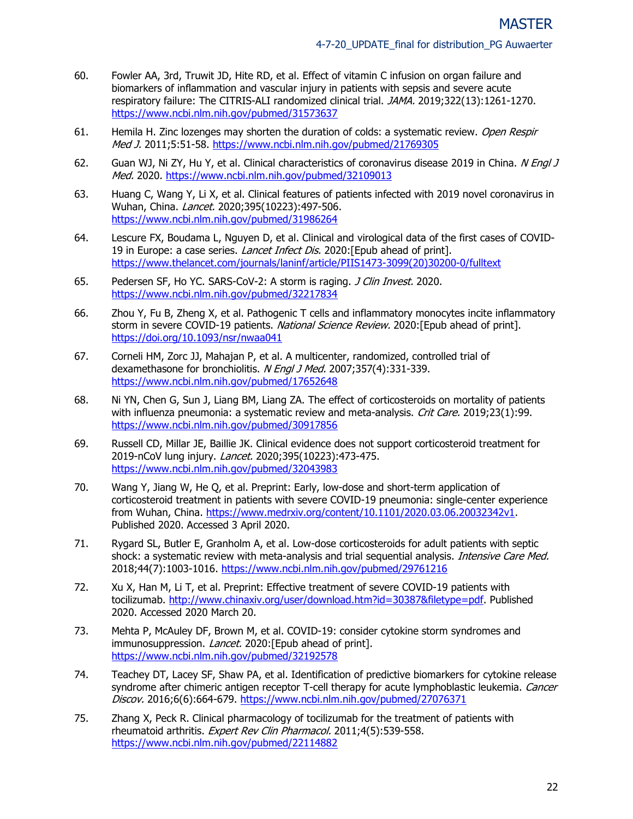- 60. Fowler AA, 3rd, Truwit JD, Hite RD, et al. Effect of vitamin C infusion on organ failure and biomarkers of inflammation and vascular injury in patients with sepsis and severe acute respiratory failure: The CITRIS-ALI randomized clinical trial. JAMA. 2019;322(13):1261-1270. <https://www.ncbi.nlm.nih.gov/pubmed/31573637>
- 61. Hemila H. Zinc lozenges may shorten the duration of colds: a systematic review. Open Respir Med J. 2011;5:51-58.<https://www.ncbi.nlm.nih.gov/pubmed/21769305>
- 62. Guan WJ, Ni ZY, Hu Y, et al. Clinical characteristics of coronavirus disease 2019 in China. N Engl J Med. 2020.<https://www.ncbi.nlm.nih.gov/pubmed/32109013>
- 63. Huang C, Wang Y, Li X, et al. Clinical features of patients infected with 2019 novel coronavirus in Wuhan, China. *Lancet.* 2020;395(10223):497-506. <https://www.ncbi.nlm.nih.gov/pubmed/31986264>
- 64. Lescure FX, Boudama L, Nguyen D, et al. Clinical and virological data of the first cases of COVID-19 in Europe: a case series. *Lancet Infect Dis.* 2020:[Epub ahead of print]. [https://www.thelancet.com/journals/laninf/article/PIIS1473-3099\(20\)30200-0/fulltext](https://www.thelancet.com/journals/laninf/article/PIIS1473-3099(20)30200-0/fulltext)
- 65. Pedersen SF, Ho YC. SARS-CoV-2: A storm is raging. *J Clin Invest.* 2020. <https://www.ncbi.nlm.nih.gov/pubmed/32217834>
- 66. Zhou Y, Fu B, Zheng X, et al. Pathogenic T cells and inflammatory monocytes incite inflammatory storm in severe COVID-19 patients. National Science Review. 2020: [Epub ahead of print]. <https://doi.org/10.1093/nsr/nwaa041>
- 67. Corneli HM, Zorc JJ, Mahajan P, et al. A multicenter, randomized, controlled trial of dexamethasone for bronchiolitis. N Engl J Med. 2007;357(4):331-339. <https://www.ncbi.nlm.nih.gov/pubmed/17652648>
- 68. Ni YN, Chen G, Sun J, Liang BM, Liang ZA. The effect of corticosteroids on mortality of patients with influenza pneumonia: a systematic review and meta-analysis. Crit Care. 2019;23(1):99. <https://www.ncbi.nlm.nih.gov/pubmed/30917856>
- 69. Russell CD, Millar JE, Baillie JK. Clinical evidence does not support corticosteroid treatment for 2019-nCoV lung injury. Lancet. 2020;395(10223):473-475. <https://www.ncbi.nlm.nih.gov/pubmed/32043983>
- 70. Wang Y, Jiang W, He Q, et al. Preprint: Early, low-dose and short-term application of corticosteroid treatment in patients with severe COVID-19 pneumonia: single-center experience from Wuhan, China. [https://www.medrxiv.org/content/10.1101/2020.03.06.20032342v1.](https://www.medrxiv.org/content/10.1101/2020.03.06.20032342v1) Published 2020. Accessed 3 April 2020.
- 71. Rygard SL, Butler E, Granholm A, et al. Low-dose corticosteroids for adult patients with septic shock: a systematic review with meta-analysis and trial sequential analysis. *Intensive Care Med.* 2018;44(7):1003-1016.<https://www.ncbi.nlm.nih.gov/pubmed/29761216>
- 72. Xu X, Han M, Li T, et al. Preprint: Effective treatment of severe COVID-19 patients with tocilizumab. [http://www.chinaxiv.org/user/download.htm?id=30387&filetype=pdf.](http://www.chinaxiv.org/user/download.htm?id=30387&filetype=pdf) Published 2020. Accessed 2020 March 20.
- 73. Mehta P, McAuley DF, Brown M, et al. COVID-19: consider cytokine storm syndromes and immunosuppression. *Lancet.* 2020:[Epub ahead of print]. <https://www.ncbi.nlm.nih.gov/pubmed/32192578>
- 74. Teachey DT, Lacey SF, Shaw PA, et al. Identification of predictive biomarkers for cytokine release syndrome after chimeric antigen receptor T-cell therapy for acute lymphoblastic leukemia. Cancer Discov. 2016;6(6):664-679.<https://www.ncbi.nlm.nih.gov/pubmed/27076371>
- 75. Zhang X, Peck R. Clinical pharmacology of tocilizumab for the treatment of patients with rheumatoid arthritis. Expert Rev Clin Pharmacol. 2011;4(5):539-558. <https://www.ncbi.nlm.nih.gov/pubmed/22114882>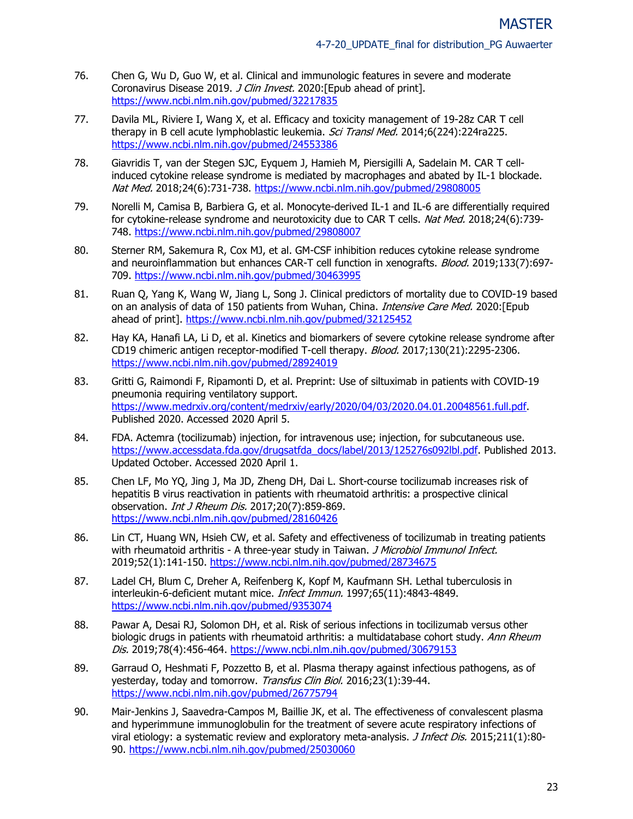- 76. Chen G, Wu D, Guo W, et al. Clinical and immunologic features in severe and moderate Coronavirus Disease 2019. *J Clin Invest*. 2020:[Epub ahead of print]. <https://www.ncbi.nlm.nih.gov/pubmed/32217835>
- 77. Davila ML, Riviere I, Wang X, et al. Efficacy and toxicity management of 19-28z CAR T cell therapy in B cell acute lymphoblastic leukemia. Sci Transl Med. 2014;6(224):224ra225. <https://www.ncbi.nlm.nih.gov/pubmed/24553386>
- 78. Giavridis T, van der Stegen SJC, Eyquem J, Hamieh M, Piersigilli A, Sadelain M. CAR T cellinduced cytokine release syndrome is mediated by macrophages and abated by IL-1 blockade. Nat Med. 2018;24(6):731-738.<https://www.ncbi.nlm.nih.gov/pubmed/29808005>
- 79. Norelli M, Camisa B, Barbiera G, et al. Monocyte-derived IL-1 and IL-6 are differentially required for cytokine-release syndrome and neurotoxicity due to CAR T cells. Nat Med. 2018;24(6):739-748.<https://www.ncbi.nlm.nih.gov/pubmed/29808007>
- 80. Sterner RM, Sakemura R, Cox MJ, et al. GM-CSF inhibition reduces cytokine release syndrome and neuroinflammation but enhances CAR-T cell function in xenografts. Blood. 2019;133(7):697-709.<https://www.ncbi.nlm.nih.gov/pubmed/30463995>
- 81. Ruan Q, Yang K, Wang W, Jiang L, Song J. Clinical predictors of mortality due to COVID-19 based on an analysis of data of 150 patients from Wuhan, China. *Intensive Care Med.* 2020:[Epub ahead of print].<https://www.ncbi.nlm.nih.gov/pubmed/32125452>
- 82. Hay KA, Hanafi LA, Li D, et al. Kinetics and biomarkers of severe cytokine release syndrome after CD19 chimeric antigen receptor-modified T-cell therapy. Blood. 2017;130(21):2295-2306. <https://www.ncbi.nlm.nih.gov/pubmed/28924019>
- 83. Gritti G, Raimondi F, Ripamonti D, et al. Preprint: Use of siltuximab in patients with COVID-19 pneumonia requiring ventilatory support. [https://www.medrxiv.org/content/medrxiv/early/2020/04/03/2020.04.01.20048561.full.pdf.](https://www.medrxiv.org/content/medrxiv/early/2020/04/03/2020.04.01.20048561.full.pdf) Published 2020. Accessed 2020 April 5.
- 84. FDA. Actemra (tocilizumab) injection, for intravenous use; injection, for subcutaneous use. [https://www.accessdata.fda.gov/drugsatfda\\_docs/label/2013/125276s092lbl.pdf.](https://www.accessdata.fda.gov/drugsatfda_docs/label/2013/125276s092lbl.pdf) Published 2013. Updated October. Accessed 2020 April 1.
- 85. Chen LF, Mo YQ, Jing J, Ma JD, Zheng DH, Dai L. Short-course tocilizumab increases risk of hepatitis B virus reactivation in patients with rheumatoid arthritis: a prospective clinical observation. *Int J Rheum Dis.* 2017;20(7):859-869. <https://www.ncbi.nlm.nih.gov/pubmed/28160426>
- 86. Lin CT, Huang WN, Hsieh CW, et al. Safety and effectiveness of tocilizumab in treating patients with rheumatoid arthritis - A three-year study in Taiwan. J Microbiol Immunol Infect. 2019;52(1):141-150.<https://www.ncbi.nlm.nih.gov/pubmed/28734675>
- 87. Ladel CH, Blum C, Dreher A, Reifenberg K, Kopf M, Kaufmann SH. Lethal tuberculosis in interleukin-6-deficient mutant mice. Infect Immun. 1997;65(11):4843-4849. <https://www.ncbi.nlm.nih.gov/pubmed/9353074>
- 88. Pawar A, Desai RJ, Solomon DH, et al. Risk of serious infections in tocilizumab versus other biologic drugs in patients with rheumatoid arthritis: a multidatabase cohort study. Ann Rheum Dis. 2019;78(4):456-464.<https://www.ncbi.nlm.nih.gov/pubmed/30679153>
- 89. Garraud O, Heshmati F, Pozzetto B, et al. Plasma therapy against infectious pathogens, as of yesterday, today and tomorrow. Transfus Clin Biol. 2016;23(1):39-44. <https://www.ncbi.nlm.nih.gov/pubmed/26775794>
- 90. Mair-Jenkins J, Saavedra-Campos M, Baillie JK, et al. The effectiveness of convalescent plasma and hyperimmune immunoglobulin for the treatment of severe acute respiratory infections of viral etiology: a systematic review and exploratory meta-analysis. *J Infect Dis.* 2015;211(1):80-90.<https://www.ncbi.nlm.nih.gov/pubmed/25030060>